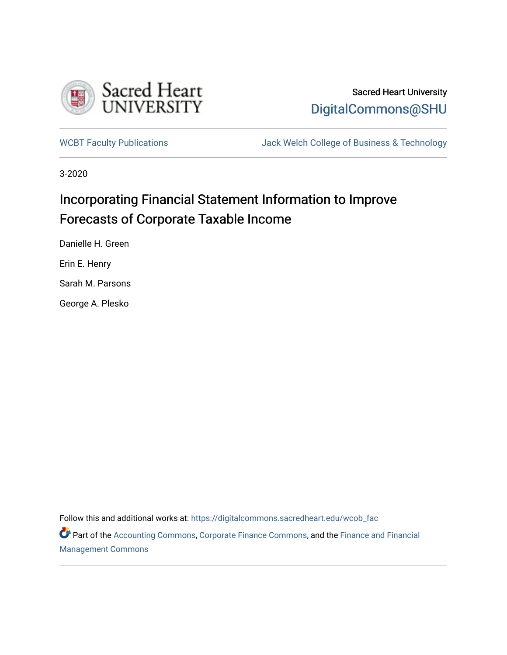

# Sacred Heart University [DigitalCommons@SHU](https://digitalcommons.sacredheart.edu/)

[WCBT Faculty Publications](https://digitalcommons.sacredheart.edu/wcob_fac) **MEGAL STACK Welch College of Business & Technology** 

3-2020

# Incorporating Financial Statement Information to Improve Forecasts of Corporate Taxable Income

Danielle H. Green

Erin E. Henry

Sarah M. Parsons

George A. Plesko

Follow this and additional works at: [https://digitalcommons.sacredheart.edu/wcob\\_fac](https://digitalcommons.sacredheart.edu/wcob_fac?utm_source=digitalcommons.sacredheart.edu%2Fwcob_fac%2F543&utm_medium=PDF&utm_campaign=PDFCoverPages)

Part of the [Accounting Commons](http://network.bepress.com/hgg/discipline/625?utm_source=digitalcommons.sacredheart.edu%2Fwcob_fac%2F543&utm_medium=PDF&utm_campaign=PDFCoverPages), [Corporate Finance Commons,](http://network.bepress.com/hgg/discipline/629?utm_source=digitalcommons.sacredheart.edu%2Fwcob_fac%2F543&utm_medium=PDF&utm_campaign=PDFCoverPages) and the [Finance and Financial](http://network.bepress.com/hgg/discipline/631?utm_source=digitalcommons.sacredheart.edu%2Fwcob_fac%2F543&utm_medium=PDF&utm_campaign=PDFCoverPages) [Management Commons](http://network.bepress.com/hgg/discipline/631?utm_source=digitalcommons.sacredheart.edu%2Fwcob_fac%2F543&utm_medium=PDF&utm_campaign=PDFCoverPages)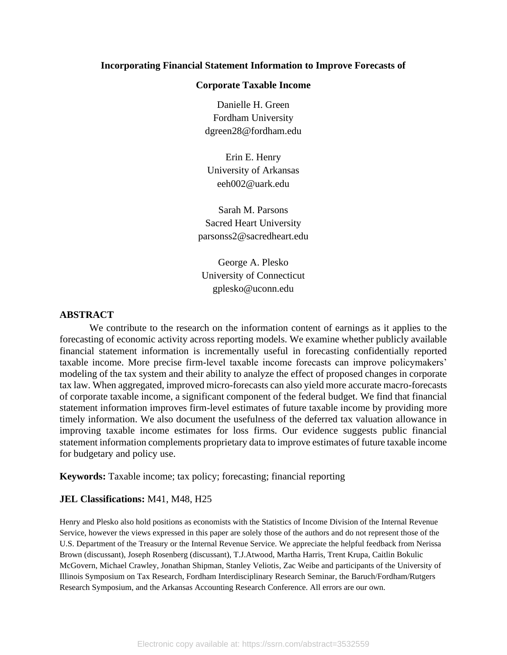#### **Incorporating Financial Statement Information to Improve Forecasts of**

#### **Corporate Taxable Income**

Danielle H. Green Fordham University dgreen28@fordham.edu

Erin E. Henry University of Arkansas eeh002@uark.edu

Sarah M. Parsons Sacred Heart University parsonss2@sacredheart.edu

George A. Plesko University of Connecticut gplesko@uconn.edu

#### **ABSTRACT**

 We contribute to the research on the information content of earnings as it applies to the forecasting of economic activity across reporting models. We examine whether publicly available financial statement information is incrementally useful in forecasting confidentially reported taxable income. More precise firm-level taxable income forecasts can improve policymakers' modeling of the tax system and their ability to analyze the effect of proposed changes in corporate tax law. When aggregated, improved micro-forecasts can also yield more accurate macro-forecasts of corporate taxable income, a significant component of the federal budget. We find that financial statement information improves firm-level estimates of future taxable income by providing more timely information. We also document the usefulness of the deferred tax valuation allowance in improving taxable income estimates for loss firms. Our evidence suggests public financial statement information complements proprietary data to improve estimates of future taxable income for budgetary and policy use.

**Keywords:** Taxable income; tax policy; forecasting; financial reporting

#### **JEL Classifications:** M41, M48, H25

Henry and Plesko also hold positions as economists with the Statistics of Income Division of the Internal Revenue Service, however the views expressed in this paper are solely those of the authors and do not represent those of the U.S. Department of the Treasury or the Internal Revenue Service. We appreciate the helpful feedback from Nerissa Brown (discussant), Joseph Rosenberg (discussant), T.J.Atwood, Martha Harris, Trent Krupa, Caitlin Bokulic McGovern, Michael Crawley, Jonathan Shipman, Stanley Veliotis, Zac Weibe and participants of the University of Illinois Symposium on Tax Research, Fordham Interdisciplinary Research Seminar, the Baruch/Fordham/Rutgers Research Symposium, and the Arkansas Accounting Research Conference. All errors are our own.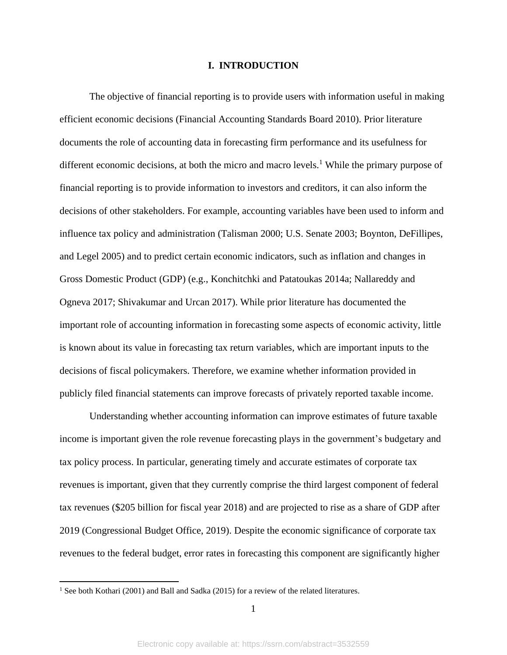#### **I. INTRODUCTION**

The objective of financial reporting is to provide users with information useful in making efficient economic decisions (Financial Accounting Standards Board 2010). Prior literature documents the role of accounting data in forecasting firm performance and its usefulness for different economic decisions, at both the micro and macro levels.<sup>1</sup> While the primary purpose of financial reporting is to provide information to investors and creditors, it can also inform the decisions of other stakeholders. For example, accounting variables have been used to inform and influence tax policy and administration (Talisman 2000; U.S. Senate 2003; Boynton, DeFillipes, and Legel 2005) and to predict certain economic indicators, such as inflation and changes in Gross Domestic Product (GDP) (e.g., Konchitchki and Patatoukas 2014a; Nallareddy and Ogneva 2017; Shivakumar and Urcan 2017). While prior literature has documented the important role of accounting information in forecasting some aspects of economic activity, little is known about its value in forecasting tax return variables, which are important inputs to the decisions of fiscal policymakers. Therefore, we examine whether information provided in publicly filed financial statements can improve forecasts of privately reported taxable income.

Understanding whether accounting information can improve estimates of future taxable income is important given the role revenue forecasting plays in the government's budgetary and tax policy process. In particular, generating timely and accurate estimates of corporate tax revenues is important, given that they currently comprise the third largest component of federal tax revenues (\$205 billion for fiscal year 2018) and are projected to rise as a share of GDP after 2019 (Congressional Budget Office, 2019). Despite the economic significance of corporate tax revenues to the federal budget, error rates in forecasting this component are significantly higher

<sup>&</sup>lt;sup>1</sup> See both Kothari (2001) and Ball and Sadka (2015) for a review of the related literatures.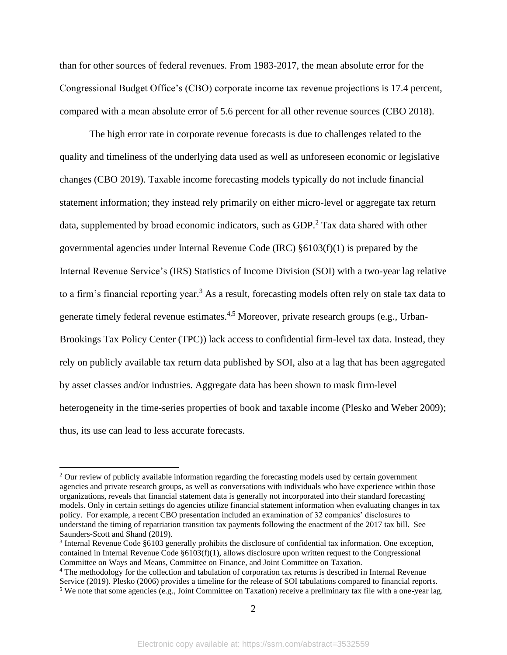than for other sources of federal revenues. From 1983-2017, the mean absolute error for the Congressional Budget Office's (CBO) corporate income tax revenue projections is 17.4 percent, compared with a mean absolute error of 5.6 percent for all other revenue sources (CBO 2018).

The high error rate in corporate revenue forecasts is due to challenges related to the quality and timeliness of the underlying data used as well as unforeseen economic or legislative changes (CBO 2019). Taxable income forecasting models typically do not include financial statement information; they instead rely primarily on either micro-level or aggregate tax return data, supplemented by broad economic indicators, such as GDP.<sup>2</sup> Tax data shared with other governmental agencies under Internal Revenue Code (IRC) §6103(f)(1) is prepared by the Internal Revenue Service's (IRS) Statistics of Income Division (SOI) with a two-year lag relative to a firm's financial reporting year.<sup>3</sup> As a result, forecasting models often rely on stale tax data to generate timely federal revenue estimates.<sup>4,5</sup> Moreover, private research groups (e.g., Urban-Brookings Tax Policy Center (TPC)) lack access to confidential firm-level tax data. Instead, they rely on publicly available tax return data published by SOI, also at a lag that has been aggregated by asset classes and/or industries. Aggregate data has been shown to mask firm-level heterogeneity in the time-series properties of book and taxable income (Plesko and Weber 2009); thus, its use can lead to less accurate forecasts.

<sup>&</sup>lt;sup>2</sup> Our review of publicly available information regarding the forecasting models used by certain government agencies and private research groups, as well as conversations with individuals who have experience within those organizations, reveals that financial statement data is generally not incorporated into their standard forecasting models. Only in certain settings do agencies utilize financial statement information when evaluating changes in tax policy. For example, a recent CBO presentation included an examination of 32 companies' disclosures to understand the timing of repatriation transition tax payments following the enactment of the 2017 tax bill. See Saunders-Scott and Shand (2019).

<sup>3</sup> Internal Revenue Code §6103 generally prohibits the disclosure of confidential tax information. One exception, contained in Internal Revenue Code §6103(f)(1), allows disclosure upon written request to the Congressional Committee on Ways and Means, Committee on Finance, and Joint Committee on Taxation.

<sup>4</sup> The methodology for the collection and tabulation of corporation tax returns is described in Internal Revenue Service (2019). Plesko (2006) provides a timeline for the release of SOI tabulations compared to financial reports. <sup>5</sup> We note that some agencies (e.g., Joint Committee on Taxation) receive a preliminary tax file with a one-year lag.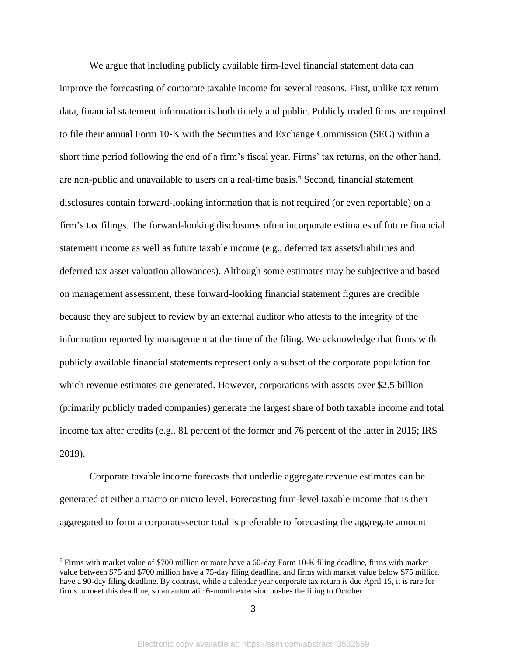We argue that including publicly available firm-level financial statement data can improve the forecasting of corporate taxable income for several reasons. First, unlike tax return data, financial statement information is both timely and public. Publicly traded firms are required to file their annual Form 10-K with the Securities and Exchange Commission (SEC) within a short time period following the end of a firm's fiscal year. Firms' tax returns, on the other hand, are non-public and unavailable to users on a real-time basis.<sup>6</sup> Second, financial statement disclosures contain forward-looking information that is not required (or even reportable) on a firm's tax filings. The forward-looking disclosures often incorporate estimates of future financial statement income as well as future taxable income (e.g., deferred tax assets/liabilities and deferred tax asset valuation allowances). Although some estimates may be subjective and based on management assessment, these forward-looking financial statement figures are credible because they are subject to review by an external auditor who attests to the integrity of the information reported by management at the time of the filing. We acknowledge that firms with publicly available financial statements represent only a subset of the corporate population for which revenue estimates are generated. However, corporations with assets over \$2.5 billion (primarily publicly traded companies) generate the largest share of both taxable income and total income tax after credits (e.g., 81 percent of the former and 76 percent of the latter in 2015; IRS 2019).

Corporate taxable income forecasts that underlie aggregate revenue estimates can be generated at either a macro or micro level. Forecasting firm-level taxable income that is then aggregated to form a corporate-sector total is preferable to forecasting the aggregate amount

<sup>6</sup> Firms with market value of \$700 million or more have a 60-day Form 10-K filing deadline, firms with market value between \$75 and \$700 million have a 75-day filing deadline, and firms with market value below \$75 million have a 90-day filing deadline. By contrast, while a calendar year corporate tax return is due April 15, it is rare for firms to meet this deadline, so an automatic 6-month extension pushes the filing to October.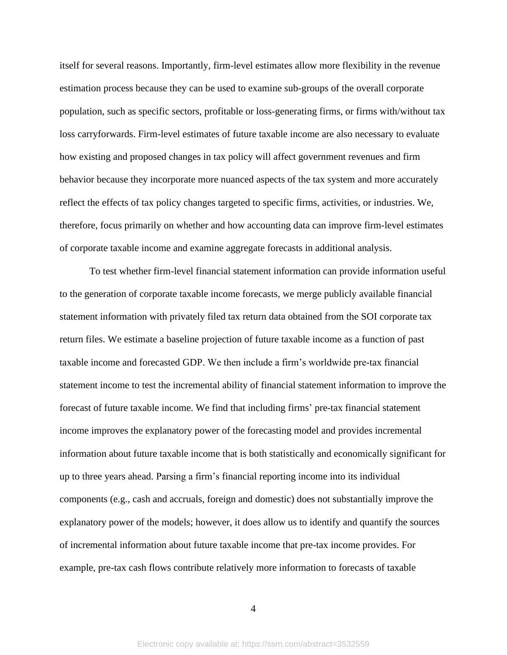itself for several reasons. Importantly, firm-level estimates allow more flexibility in the revenue estimation process because they can be used to examine sub-groups of the overall corporate population, such as specific sectors, profitable or loss-generating firms, or firms with/without tax loss carryforwards. Firm-level estimates of future taxable income are also necessary to evaluate how existing and proposed changes in tax policy will affect government revenues and firm behavior because they incorporate more nuanced aspects of the tax system and more accurately reflect the effects of tax policy changes targeted to specific firms, activities, or industries. We, therefore, focus primarily on whether and how accounting data can improve firm-level estimates of corporate taxable income and examine aggregate forecasts in additional analysis.

To test whether firm-level financial statement information can provide information useful to the generation of corporate taxable income forecasts, we merge publicly available financial statement information with privately filed tax return data obtained from the SOI corporate tax return files. We estimate a baseline projection of future taxable income as a function of past taxable income and forecasted GDP. We then include a firm's worldwide pre-tax financial statement income to test the incremental ability of financial statement information to improve the forecast of future taxable income. We find that including firms' pre-tax financial statement income improves the explanatory power of the forecasting model and provides incremental information about future taxable income that is both statistically and economically significant for up to three years ahead. Parsing a firm's financial reporting income into its individual components (e.g., cash and accruals, foreign and domestic) does not substantially improve the explanatory power of the models; however, it does allow us to identify and quantify the sources of incremental information about future taxable income that pre-tax income provides. For example, pre-tax cash flows contribute relatively more information to forecasts of taxable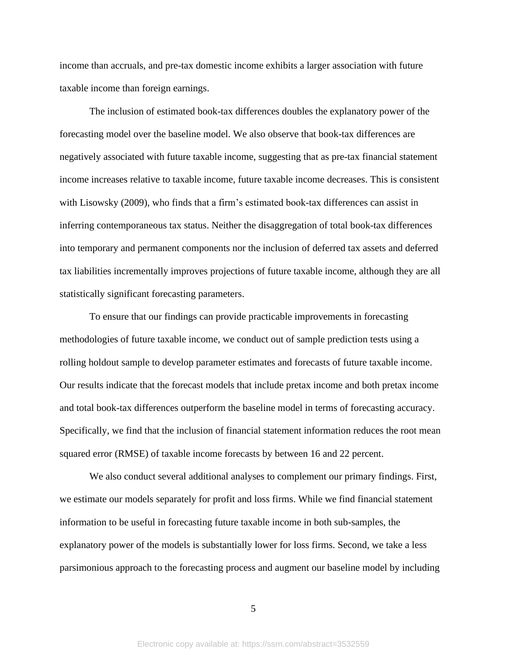income than accruals, and pre-tax domestic income exhibits a larger association with future taxable income than foreign earnings.

The inclusion of estimated book-tax differences doubles the explanatory power of the forecasting model over the baseline model. We also observe that book-tax differences are negatively associated with future taxable income, suggesting that as pre-tax financial statement income increases relative to taxable income, future taxable income decreases. This is consistent with Lisowsky (2009), who finds that a firm's estimated book-tax differences can assist in inferring contemporaneous tax status. Neither the disaggregation of total book-tax differences into temporary and permanent components nor the inclusion of deferred tax assets and deferred tax liabilities incrementally improves projections of future taxable income, although they are all statistically significant forecasting parameters.

To ensure that our findings can provide practicable improvements in forecasting methodologies of future taxable income, we conduct out of sample prediction tests using a rolling holdout sample to develop parameter estimates and forecasts of future taxable income. Our results indicate that the forecast models that include pretax income and both pretax income and total book-tax differences outperform the baseline model in terms of forecasting accuracy. Specifically, we find that the inclusion of financial statement information reduces the root mean squared error (RMSE) of taxable income forecasts by between 16 and 22 percent.

We also conduct several additional analyses to complement our primary findings. First, we estimate our models separately for profit and loss firms. While we find financial statement information to be useful in forecasting future taxable income in both sub-samples, the explanatory power of the models is substantially lower for loss firms. Second, we take a less parsimonious approach to the forecasting process and augment our baseline model by including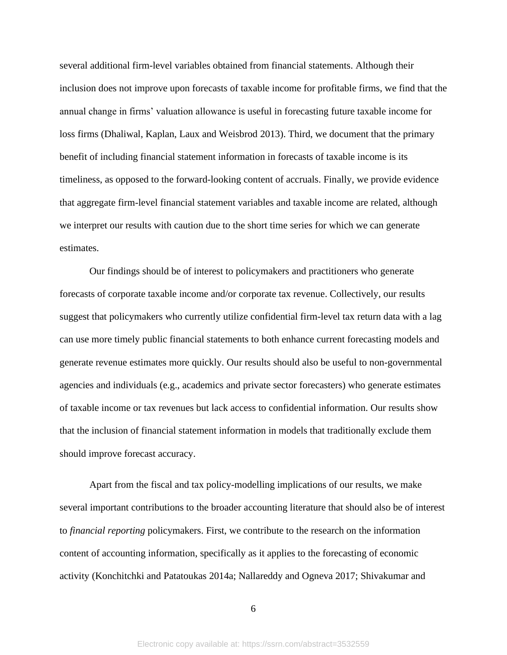several additional firm-level variables obtained from financial statements. Although their inclusion does not improve upon forecasts of taxable income for profitable firms, we find that the annual change in firms' valuation allowance is useful in forecasting future taxable income for loss firms (Dhaliwal, Kaplan, Laux and Weisbrod 2013). Third, we document that the primary benefit of including financial statement information in forecasts of taxable income is its timeliness, as opposed to the forward-looking content of accruals. Finally, we provide evidence that aggregate firm-level financial statement variables and taxable income are related, although we interpret our results with caution due to the short time series for which we can generate estimates.

Our findings should be of interest to policymakers and practitioners who generate forecasts of corporate taxable income and/or corporate tax revenue. Collectively, our results suggest that policymakers who currently utilize confidential firm-level tax return data with a lag can use more timely public financial statements to both enhance current forecasting models and generate revenue estimates more quickly. Our results should also be useful to non-governmental agencies and individuals (e.g., academics and private sector forecasters) who generate estimates of taxable income or tax revenues but lack access to confidential information. Our results show that the inclusion of financial statement information in models that traditionally exclude them should improve forecast accuracy.

Apart from the fiscal and tax policy-modelling implications of our results, we make several important contributions to the broader accounting literature that should also be of interest to *financial reporting* policymakers. First, we contribute to the research on the information content of accounting information, specifically as it applies to the forecasting of economic activity (Konchitchki and Patatoukas 2014a; Nallareddy and Ogneva 2017; Shivakumar and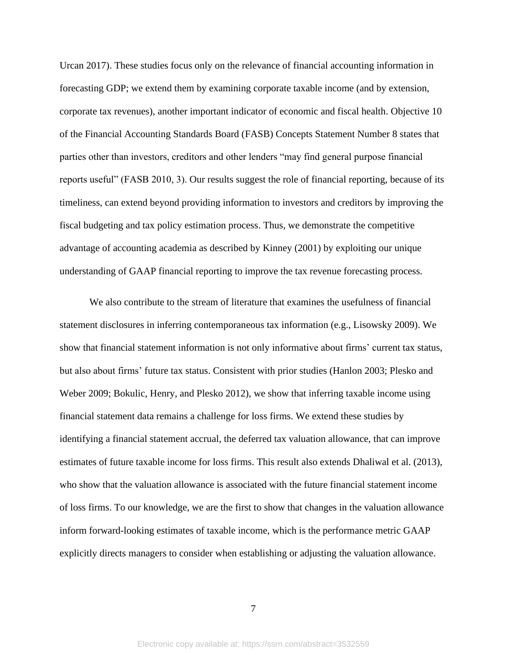Urcan 2017). These studies focus only on the relevance of financial accounting information in forecasting GDP; we extend them by examining corporate taxable income (and by extension, corporate tax revenues), another important indicator of economic and fiscal health. Objective 10 of the Financial Accounting Standards Board (FASB) Concepts Statement Number 8 states that parties other than investors, creditors and other lenders "may find general purpose financial reports useful" (FASB 2010, 3). Our results suggest the role of financial reporting, because of its timeliness, can extend beyond providing information to investors and creditors by improving the fiscal budgeting and tax policy estimation process. Thus, we demonstrate the competitive advantage of accounting academia as described by Kinney (2001) by exploiting our unique understanding of GAAP financial reporting to improve the tax revenue forecasting process.

We also contribute to the stream of literature that examines the usefulness of financial statement disclosures in inferring contemporaneous tax information (e.g., Lisowsky 2009). We show that financial statement information is not only informative about firms' current tax status, but also about firms' future tax status. Consistent with prior studies (Hanlon 2003; Plesko and Weber 2009; Bokulic, Henry, and Plesko 2012), we show that inferring taxable income using financial statement data remains a challenge for loss firms. We extend these studies by identifying a financial statement accrual, the deferred tax valuation allowance, that can improve estimates of future taxable income for loss firms. This result also extends Dhaliwal et al. (2013), who show that the valuation allowance is associated with the future financial statement income of loss firms. To our knowledge, we are the first to show that changes in the valuation allowance inform forward-looking estimates of taxable income, which is the performance metric GAAP explicitly directs managers to consider when establishing or adjusting the valuation allowance.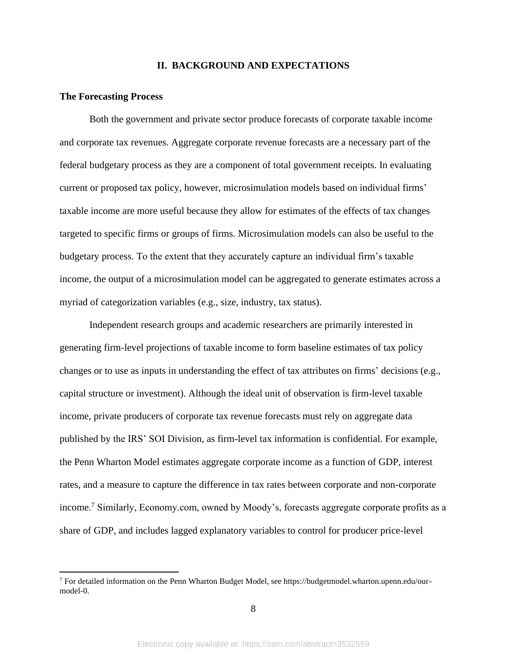#### **II. BACKGROUND AND EXPECTATIONS**

#### **The Forecasting Process**

Both the government and private sector produce forecasts of corporate taxable income and corporate tax revenues. Aggregate corporate revenue forecasts are a necessary part of the federal budgetary process as they are a component of total government receipts. In evaluating current or proposed tax policy, however, microsimulation models based on individual firms' taxable income are more useful because they allow for estimates of the effects of tax changes targeted to specific firms or groups of firms. Microsimulation models can also be useful to the budgetary process. To the extent that they accurately capture an individual firm's taxable income, the output of a microsimulation model can be aggregated to generate estimates across a myriad of categorization variables (e.g., size, industry, tax status).

Independent research groups and academic researchers are primarily interested in generating firm-level projections of taxable income to form baseline estimates of tax policy changes or to use as inputs in understanding the effect of tax attributes on firms' decisions (e.g., capital structure or investment). Although the ideal unit of observation is firm-level taxable income, private producers of corporate tax revenue forecasts must rely on aggregate data published by the IRS' SOI Division, as firm-level tax information is confidential. For example, the Penn Wharton Model estimates aggregate corporate income as a function of GDP, interest rates, and a measure to capture the difference in tax rates between corporate and non-corporate income.<sup>7</sup> Similarly, Economy.com, owned by Moody's, forecasts aggregate corporate profits as a share of GDP, and includes lagged explanatory variables to control for producer price-level

<sup>7</sup> For detailed information on the Penn Wharton Budget Model, see https://budgetmodel.wharton.upenn.edu/ourmodel-0.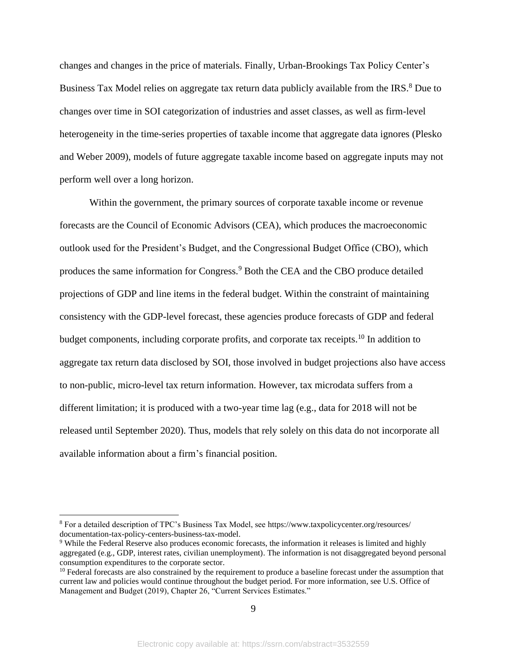changes and changes in the price of materials. Finally, Urban-Brookings Tax Policy Center's Business Tax Model relies on aggregate tax return data publicly available from the IRS.<sup>8</sup> Due to changes over time in SOI categorization of industries and asset classes, as well as firm-level heterogeneity in the time-series properties of taxable income that aggregate data ignores (Plesko and Weber 2009), models of future aggregate taxable income based on aggregate inputs may not perform well over a long horizon.

Within the government, the primary sources of corporate taxable income or revenue forecasts are the Council of Economic Advisors (CEA), which produces the macroeconomic outlook used for the President's Budget, and the Congressional Budget Office (CBO), which produces the same information for Congress.<sup>9</sup> Both the CEA and the CBO produce detailed projections of GDP and line items in the federal budget. Within the constraint of maintaining consistency with the GDP-level forecast, these agencies produce forecasts of GDP and federal budget components, including corporate profits, and corporate tax receipts.<sup>10</sup> In addition to aggregate tax return data disclosed by SOI, those involved in budget projections also have access to non-public, micro-level tax return information. However, tax microdata suffers from a different limitation; it is produced with a two-year time lag (e.g., data for 2018 will not be released until September 2020). Thus, models that rely solely on this data do not incorporate all available information about a firm's financial position.

<sup>8</sup> For a detailed description of TPC's Business Tax Model, see https://www.taxpolicycenter.org/resources/ documentation-tax-policy-centers-business-tax-model.

<sup>9</sup> While the Federal Reserve also produces economic forecasts, the information it releases is limited and highly aggregated (e.g., GDP, interest rates, civilian unemployment). The information is not disaggregated beyond personal consumption expenditures to the corporate sector.

<sup>&</sup>lt;sup>10</sup> Federal forecasts are also constrained by the requirement to produce a baseline forecast under the assumption that current law and policies would continue throughout the budget period. For more information, see U.S. Office of Management and Budget (2019), Chapter 26, "Current Services Estimates."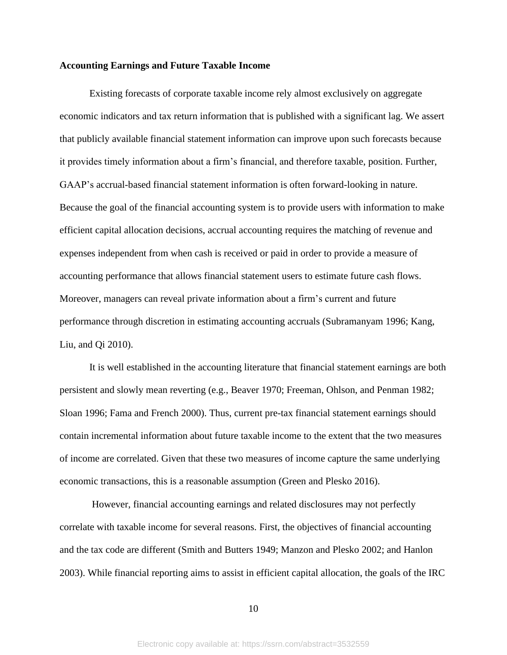#### **Accounting Earnings and Future Taxable Income**

Existing forecasts of corporate taxable income rely almost exclusively on aggregate economic indicators and tax return information that is published with a significant lag. We assert that publicly available financial statement information can improve upon such forecasts because it provides timely information about a firm's financial, and therefore taxable, position. Further, GAAP's accrual-based financial statement information is often forward-looking in nature. Because the goal of the financial accounting system is to provide users with information to make efficient capital allocation decisions, accrual accounting requires the matching of revenue and expenses independent from when cash is received or paid in order to provide a measure of accounting performance that allows financial statement users to estimate future cash flows. Moreover, managers can reveal private information about a firm's current and future performance through discretion in estimating accounting accruals (Subramanyam 1996; Kang, Liu, and Qi 2010).

It is well established in the accounting literature that financial statement earnings are both persistent and slowly mean reverting (e.g., Beaver 1970; Freeman, Ohlson, and Penman 1982; Sloan 1996; Fama and French 2000). Thus, current pre-tax financial statement earnings should contain incremental information about future taxable income to the extent that the two measures of income are correlated. Given that these two measures of income capture the same underlying economic transactions, this is a reasonable assumption (Green and Plesko 2016).

However, financial accounting earnings and related disclosures may not perfectly correlate with taxable income for several reasons. First, the objectives of financial accounting and the tax code are different (Smith and Butters 1949; Manzon and Plesko 2002; and Hanlon 2003). While financial reporting aims to assist in efficient capital allocation, the goals of the IRC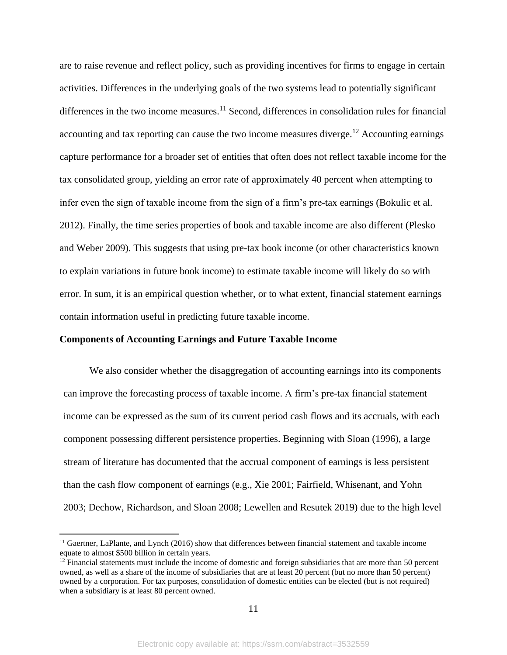are to raise revenue and reflect policy, such as providing incentives for firms to engage in certain activities. Differences in the underlying goals of the two systems lead to potentially significant differences in the two income measures.<sup>11</sup> Second, differences in consolidation rules for financial accounting and tax reporting can cause the two income measures diverge.<sup>12</sup> Accounting earnings capture performance for a broader set of entities that often does not reflect taxable income for the tax consolidated group, yielding an error rate of approximately 40 percent when attempting to infer even the sign of taxable income from the sign of a firm's pre-tax earnings (Bokulic et al. 2012). Finally, the time series properties of book and taxable income are also different (Plesko and Weber 2009). This suggests that using pre-tax book income (or other characteristics known to explain variations in future book income) to estimate taxable income will likely do so with error. In sum, it is an empirical question whether, or to what extent, financial statement earnings contain information useful in predicting future taxable income.

#### **Components of Accounting Earnings and Future Taxable Income**

We also consider whether the disaggregation of accounting earnings into its components can improve the forecasting process of taxable income. A firm's pre-tax financial statement income can be expressed as the sum of its current period cash flows and its accruals, with each component possessing different persistence properties. Beginning with Sloan (1996), a large stream of literature has documented that the accrual component of earnings is less persistent than the cash flow component of earnings (e.g., Xie 2001; Fairfield, Whisenant, and Yohn 2003; Dechow, Richardson, and Sloan 2008; Lewellen and Resutek 2019) due to the high level

<sup>&</sup>lt;sup>11</sup> Gaertner, LaPlante, and Lynch (2016) show that differences between financial statement and taxable income equate to almost \$500 billion in certain years.

 $12$  Financial statements must include the income of domestic and foreign subsidiaries that are more than 50 percent owned, as well as a share of the income of subsidiaries that are at least 20 percent (but no more than 50 percent) owned by a corporation. For tax purposes, consolidation of domestic entities can be elected (but is not required) when a subsidiary is at least 80 percent owned.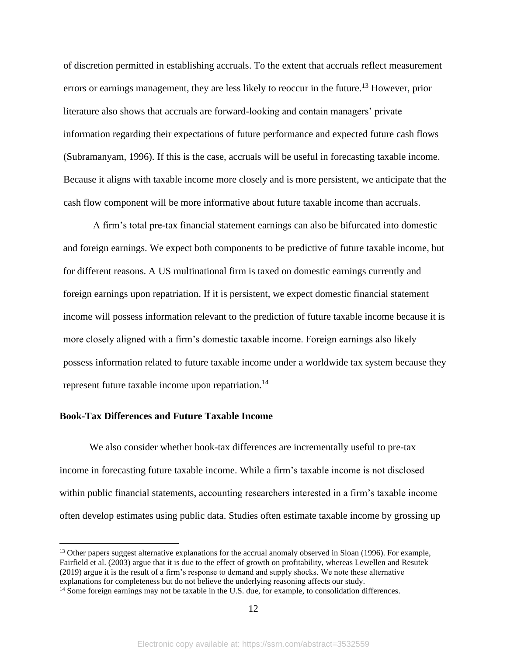of discretion permitted in establishing accruals. To the extent that accruals reflect measurement errors or earnings management, they are less likely to reoccur in the future.<sup>13</sup> However, prior literature also shows that accruals are forward-looking and contain managers' private information regarding their expectations of future performance and expected future cash flows (Subramanyam, 1996). If this is the case, accruals will be useful in forecasting taxable income. Because it aligns with taxable income more closely and is more persistent, we anticipate that the cash flow component will be more informative about future taxable income than accruals.

A firm's total pre-tax financial statement earnings can also be bifurcated into domestic and foreign earnings. We expect both components to be predictive of future taxable income, but for different reasons. A US multinational firm is taxed on domestic earnings currently and foreign earnings upon repatriation. If it is persistent, we expect domestic financial statement income will possess information relevant to the prediction of future taxable income because it is more closely aligned with a firm's domestic taxable income. Foreign earnings also likely possess information related to future taxable income under a worldwide tax system because they represent future taxable income upon repatriation.<sup>14</sup>

#### **Book-Tax Differences and Future Taxable Income**

We also consider whether book-tax differences are incrementally useful to pre-tax income in forecasting future taxable income. While a firm's taxable income is not disclosed within public financial statements, accounting researchers interested in a firm's taxable income often develop estimates using public data. Studies often estimate taxable income by grossing up

<sup>&</sup>lt;sup>13</sup> Other papers suggest alternative explanations for the accrual anomaly observed in Sloan (1996). For example, Fairfield et al. (2003) argue that it is due to the effect of growth on profitability, whereas Lewellen and Resutek (2019) argue it is the result of a firm's response to demand and supply shocks. We note these alternative explanations for completeness but do not believe the underlying reasoning affects our study.

<sup>&</sup>lt;sup>14</sup> Some foreign earnings may not be taxable in the U.S. due, for example, to consolidation differences.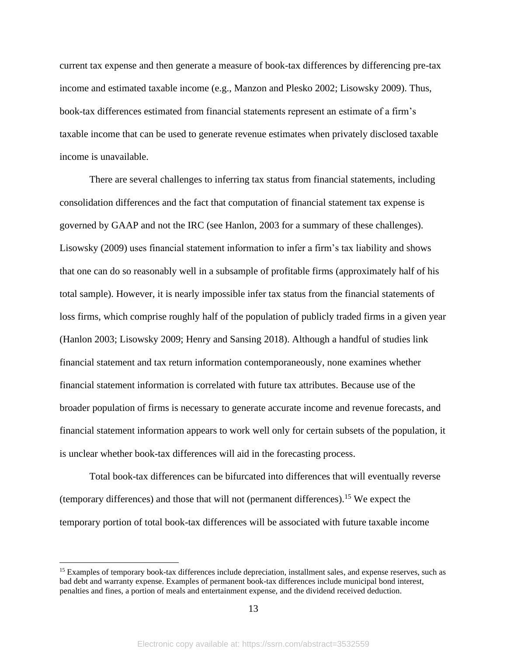current tax expense and then generate a measure of book-tax differences by differencing pre-tax income and estimated taxable income (e.g., Manzon and Plesko 2002; Lisowsky 2009). Thus, book-tax differences estimated from financial statements represent an estimate of a firm's taxable income that can be used to generate revenue estimates when privately disclosed taxable income is unavailable.

There are several challenges to inferring tax status from financial statements, including consolidation differences and the fact that computation of financial statement tax expense is governed by GAAP and not the IRC (see Hanlon, 2003 for a summary of these challenges). Lisowsky (2009) uses financial statement information to infer a firm's tax liability and shows that one can do so reasonably well in a subsample of profitable firms (approximately half of his total sample). However, it is nearly impossible infer tax status from the financial statements of loss firms, which comprise roughly half of the population of publicly traded firms in a given year (Hanlon 2003; Lisowsky 2009; Henry and Sansing 2018). Although a handful of studies link financial statement and tax return information contemporaneously, none examines whether financial statement information is correlated with future tax attributes. Because use of the broader population of firms is necessary to generate accurate income and revenue forecasts, and financial statement information appears to work well only for certain subsets of the population, it is unclear whether book-tax differences will aid in the forecasting process.

Total book-tax differences can be bifurcated into differences that will eventually reverse (temporary differences) and those that will not (permanent differences). <sup>15</sup> We expect the temporary portion of total book-tax differences will be associated with future taxable income

<sup>&</sup>lt;sup>15</sup> Examples of temporary book-tax differences include depreciation, installment sales, and expense reserves, such as bad debt and warranty expense. Examples of permanent book-tax differences include municipal bond interest, penalties and fines, a portion of meals and entertainment expense, and the dividend received deduction.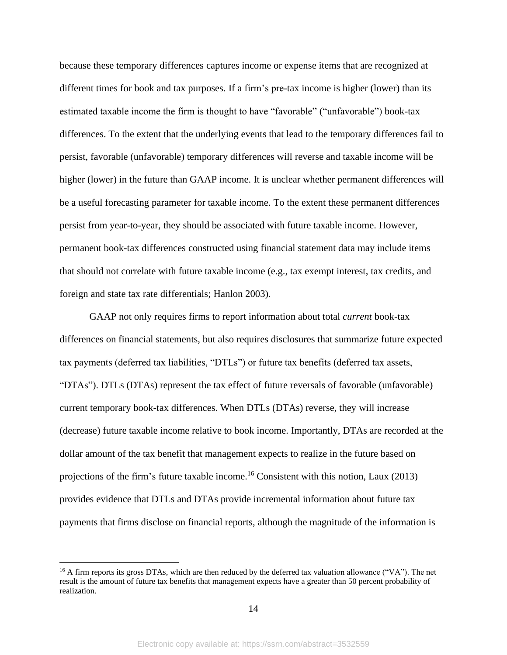because these temporary differences captures income or expense items that are recognized at different times for book and tax purposes. If a firm's pre-tax income is higher (lower) than its estimated taxable income the firm is thought to have "favorable" ("unfavorable") book-tax differences. To the extent that the underlying events that lead to the temporary differences fail to persist, favorable (unfavorable) temporary differences will reverse and taxable income will be higher (lower) in the future than GAAP income. It is unclear whether permanent differences will be a useful forecasting parameter for taxable income. To the extent these permanent differences persist from year-to-year, they should be associated with future taxable income. However, permanent book-tax differences constructed using financial statement data may include items that should not correlate with future taxable income (e.g., tax exempt interest, tax credits, and foreign and state tax rate differentials; Hanlon 2003).

GAAP not only requires firms to report information about total *current* book-tax differences on financial statements, but also requires disclosures that summarize future expected tax payments (deferred tax liabilities, "DTLs") or future tax benefits (deferred tax assets, "DTAs"). DTLs (DTAs) represent the tax effect of future reversals of favorable (unfavorable) current temporary book-tax differences. When DTLs (DTAs) reverse, they will increase (decrease) future taxable income relative to book income. Importantly, DTAs are recorded at the dollar amount of the tax benefit that management expects to realize in the future based on projections of the firm's future taxable income.<sup>16</sup> Consistent with this notion, Laux  $(2013)$ provides evidence that DTLs and DTAs provide incremental information about future tax payments that firms disclose on financial reports, although the magnitude of the information is

<sup>&</sup>lt;sup>16</sup> A firm reports its gross DTAs, which are then reduced by the deferred tax valuation allowance ("VA"). The net result is the amount of future tax benefits that management expects have a greater than 50 percent probability of realization.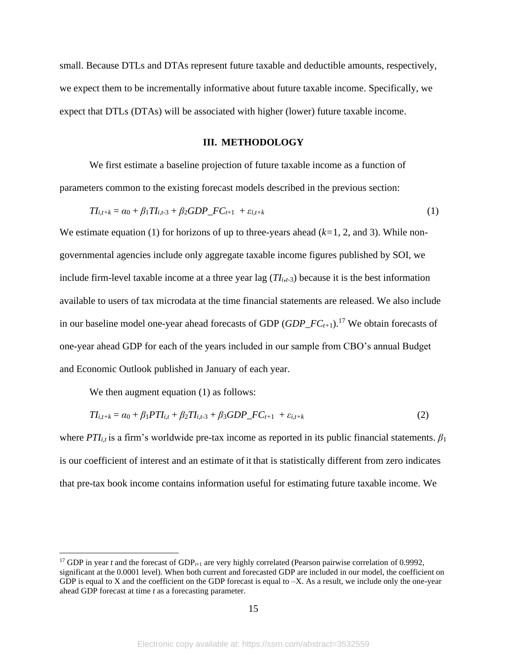small. Because DTLs and DTAs represent future taxable and deductible amounts, respectively, we expect them to be incrementally informative about future taxable income. Specifically, we expect that DTLs (DTAs) will be associated with higher (lower) future taxable income.

#### **III. METHODOLOGY**

We first estimate a baseline projection of future taxable income as a function of parameters common to the existing forecast models described in the previous section:

$$
TI_{i,t+k} = \alpha_0 + \beta_1 TI_{i,t-3} + \beta_2 GDP\_FC_{t+1} + \varepsilon_{i,t+k}
$$
 (1)

We estimate equation (1) for horizons of up to three-years ahead (*k=*1, 2, and 3). While nongovernmental agencies include only aggregate taxable income figures published by SOI, we include firm-level taxable income at a three year lag  $(TI_{i,t-3})$  because it is the best information available to users of tax microdata at the time financial statements are released. We also include in our baseline model one-year ahead forecasts of GDP (*GDP\_FCt+*1). <sup>17</sup> We obtain forecasts of one-year ahead GDP for each of the years included in our sample from CBO's annual Budget and Economic Outlook published in January of each year.

We then augment equation (1) as follows:

$$
TI_{i,t+k} = \alpha_0 + \beta_1 PTI_{i,t} + \beta_2 TI_{i,t-3} + \beta_3 GDP\_FC_{t+1} + \varepsilon_{i,t+k}
$$
\n(2)

where *PTIi,t* is a firm's worldwide pre-tax income as reported in its public financial statements. *β*<sup>1</sup> is our coefficient of interest and an estimate of it that is statistically different from zero indicates that pre-tax book income contains information useful for estimating future taxable income. We

<sup>&</sup>lt;sup>17</sup> GDP in year *t* and the forecast of GDP<sub>*t*+1</sub> are very highly correlated (Pearson pairwise correlation of 0.9992, significant at the 0.0001 level). When both current and forecasted GDP are included in our model, the coefficient on GDP is equal to X and the coefficient on the GDP forecast is equal to  $-X$ . As a result, we include only the one-year ahead GDP forecast at time *t* as a forecasting parameter.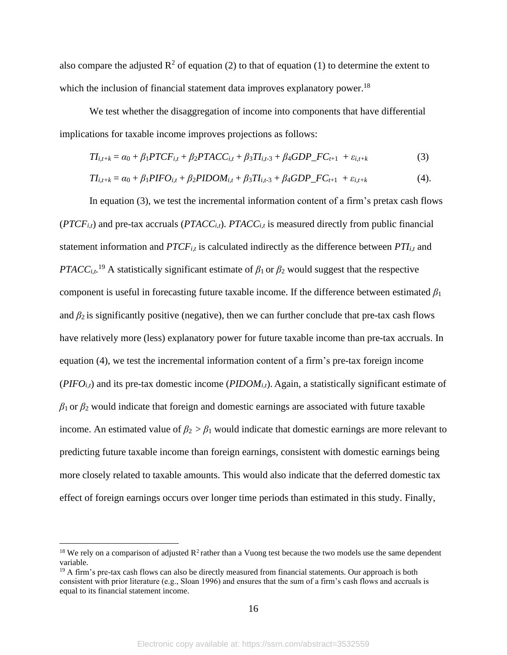also compare the adjusted  $\mathbb{R}^2$  of equation (2) to that of equation (1) to determine the extent to which the inclusion of financial statement data improves explanatory power.<sup>18</sup>

We test whether the disaggregation of income into components that have differential implications for taxable income improves projections as follows:

$$
TI_{i,t+k} = \alpha_0 + \beta_1 P T C F_{i,t} + \beta_2 P T A C C_{i,t} + \beta_3 T I_{i,t-3} + \beta_4 G D P_{-} F C_{t+1} + \varepsilon_{i,t+k}
$$
(3)

$$
TI_{i,t+k} = \alpha_0 + \beta_1 PIFO_{i,t} + \beta_2 PIDOM_{i,t} + \beta_3 TI_{i,t-3} + \beta_4 GDP\_FC_{t+1} + \varepsilon_{i,t+k}
$$
(4).

In equation (3), we test the incremental information content of a firm's pretax cash flows  $(PTCF_{i,t})$  and pre-tax accruals  $(PTACC_{i,t})$ .  $PTACC_{i,t}$  is measured directly from public financial statement information and *PTCFi,t* is calculated indirectly as the difference between *PTIi,t* and *PTACC*<sub>*i,t*</sub><sup>19</sup> A statistically significant estimate of  $\beta_1$  or  $\beta_2$  would suggest that the respective component is useful in forecasting future taxable income. If the difference between estimated  $\beta_1$ and  $\beta_2$  is significantly positive (negative), then we can further conclude that pre-tax cash flows have relatively more (less) explanatory power for future taxable income than pre-tax accruals. In equation (4), we test the incremental information content of a firm's pre-tax foreign income  $(PIFO<sub>it</sub>)$  and its pre-tax domestic income  $(PIDOM<sub>it</sub>)$ . Again, a statistically significant estimate of  $\beta_1$  or  $\beta_2$  would indicate that foreign and domestic earnings are associated with future taxable income. An estimated value of  $\beta_2 > \beta_1$  would indicate that domestic earnings are more relevant to predicting future taxable income than foreign earnings, consistent with domestic earnings being more closely related to taxable amounts. This would also indicate that the deferred domestic tax effect of foreign earnings occurs over longer time periods than estimated in this study. Finally,

<sup>&</sup>lt;sup>18</sup> We rely on a comparison of adjusted  $R^2$  rather than a Vuong test because the two models use the same dependent variable.

 $19$  A firm's pre-tax cash flows can also be directly measured from financial statements. Our approach is both consistent with prior literature (e.g., Sloan 1996) and ensures that the sum of a firm's cash flows and accruals is equal to its financial statement income.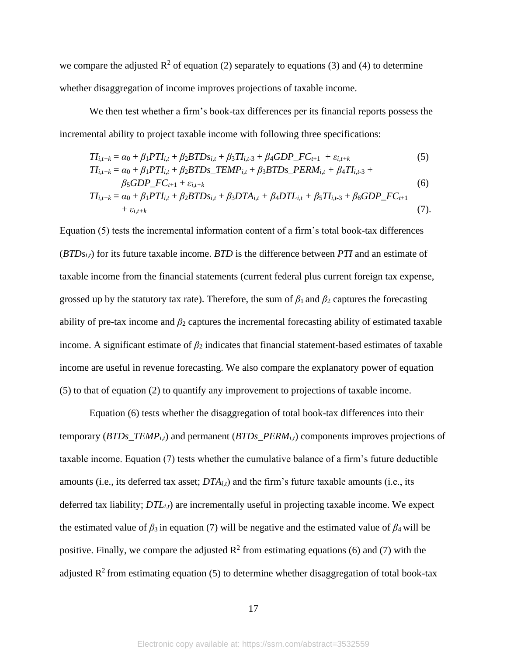we compare the adjusted  $\mathbb{R}^2$  of equation (2) separately to equations (3) and (4) to determine whether disaggregation of income improves projections of taxable income.

We then test whether a firm's book-tax differences per its financial reports possess the incremental ability to project taxable income with following three specifications:

$$
TI_{i,t+k} = \alpha_0 + \beta_1 PTI_{i,t} + \beta_2 BTDs_{i,t} + \beta_3 TI_{i,t-3} + \beta_4 GDP\_FC_{t+1} + \varepsilon_{i,t+k}
$$
(5)  
\n
$$
TI_{i,t+k} = \alpha_0 + \beta_1 PTI_{i,t} + \beta_2 BTDs\_TEMP_{i,t} + \beta_3 BTDs\_PERM_{i,t} + \beta_4 TI_{i,t-3} + \beta_5 GDP\_FC_{t+1} + \varepsilon_{i,t+k}
$$
(6)

$$
TI_{i,t+k} = \alpha_0 + \beta_1 PTI_{i,t} + \beta_2 BTDs_{i,t} + \beta_3 DTA_{i,t} + \beta_4 DTL_{i,t} + \beta_5 TI_{i,t-3} + \beta_6 GDP\_FC_{t+1} + \varepsilon_{i,t+k}
$$
\n(7).

Equation (5) tests the incremental information content of a firm's total book-tax differences (*BTDsi,t*) for its future taxable income. *BTD* is the difference between *PTI* and an estimate of taxable income from the financial statements (current federal plus current foreign tax expense, grossed up by the statutory tax rate). Therefore, the sum of  $\beta_1$  and  $\beta_2$  captures the forecasting ability of pre-tax income and  $\beta_2$  captures the incremental forecasting ability of estimated taxable income. A significant estimate of  $\beta_2$  indicates that financial statement-based estimates of taxable income are useful in revenue forecasting. We also compare the explanatory power of equation (5) to that of equation (2) to quantify any improvement to projections of taxable income.

Equation (6) tests whether the disaggregation of total book-tax differences into their temporary (*BTDs\_TEMPi,t*) and permanent (*BTDs\_PERMi,t*) components improves projections of taxable income. Equation (7) tests whether the cumulative balance of a firm's future deductible amounts (i.e., its deferred tax asset; *DTAi,t*) and the firm's future taxable amounts (i.e., its deferred tax liability; *DTLi,t*) are incrementally useful in projecting taxable income. We expect the estimated value of  $\beta_3$  in equation (7) will be negative and the estimated value of  $\beta_4$  will be positive. Finally, we compare the adjusted  $\mathbb{R}^2$  from estimating equations (6) and (7) with the adjusted  $\mathbb{R}^2$  from estimating equation (5) to determine whether disaggregation of total book-tax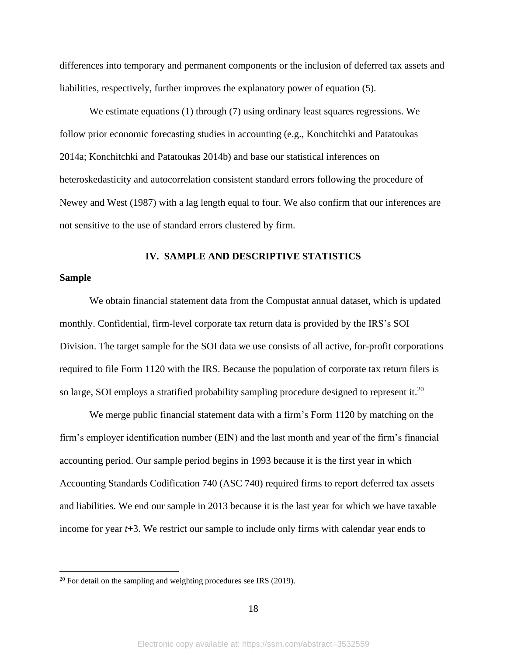differences into temporary and permanent components or the inclusion of deferred tax assets and liabilities, respectively, further improves the explanatory power of equation (5).

We estimate equations (1) through (7) using ordinary least squares regressions. We follow prior economic forecasting studies in accounting (e.g., Konchitchki and Patatoukas 2014a; Konchitchki and Patatoukas 2014b) and base our statistical inferences on heteroskedasticity and autocorrelation consistent standard errors following the procedure of Newey and West (1987) with a lag length equal to four. We also confirm that our inferences are not sensitive to the use of standard errors clustered by firm.

#### **IV. SAMPLE AND DESCRIPTIVE STATISTICS**

#### **Sample**

We obtain financial statement data from the Compustat annual dataset, which is updated monthly. Confidential, firm-level corporate tax return data is provided by the IRS's SOI Division. The target sample for the SOI data we use consists of all active, for-profit corporations required to file Form 1120 with the IRS. Because the population of corporate tax return filers is so large, SOI employs a stratified probability sampling procedure designed to represent it.<sup>20</sup>

We merge public financial statement data with a firm's Form 1120 by matching on the firm's employer identification number (EIN) and the last month and year of the firm's financial accounting period. Our sample period begins in 1993 because it is the first year in which Accounting Standards Codification 740 (ASC 740) required firms to report deferred tax assets and liabilities. We end our sample in 2013 because it is the last year for which we have taxable income for year *t*+3. We restrict our sample to include only firms with calendar year ends to

 $20$  For detail on the sampling and weighting procedures see IRS (2019).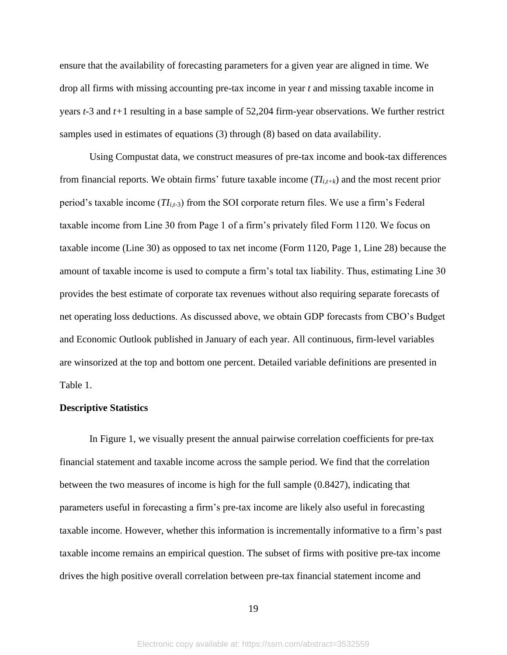ensure that the availability of forecasting parameters for a given year are aligned in time. We drop all firms with missing accounting pre-tax income in year *t* and missing taxable income in years *t*-3 and *t+*1 resulting in a base sample of 52,204 firm-year observations. We further restrict samples used in estimates of equations (3) through (8) based on data availability.

Using Compustat data, we construct measures of pre-tax income and book-tax differences from financial reports. We obtain firms' future taxable income (*TIi,t+k*) and the most recent prior period's taxable income (*TIi,t-*3) from the SOI corporate return files. We use a firm's Federal taxable income from Line 30 from Page 1 of a firm's privately filed Form 1120. We focus on taxable income (Line 30) as opposed to tax net income (Form 1120, Page 1, Line 28) because the amount of taxable income is used to compute a firm's total tax liability. Thus, estimating Line 30 provides the best estimate of corporate tax revenues without also requiring separate forecasts of net operating loss deductions. As discussed above, we obtain GDP forecasts from CBO's Budget and Economic Outlook published in January of each year. All continuous, firm-level variables are winsorized at the top and bottom one percent. Detailed variable definitions are presented in Table 1.

#### **Descriptive Statistics**

In Figure 1, we visually present the annual pairwise correlation coefficients for pre-tax financial statement and taxable income across the sample period. We find that the correlation between the two measures of income is high for the full sample (0.8427), indicating that parameters useful in forecasting a firm's pre-tax income are likely also useful in forecasting taxable income. However, whether this information is incrementally informative to a firm's past taxable income remains an empirical question. The subset of firms with positive pre-tax income drives the high positive overall correlation between pre-tax financial statement income and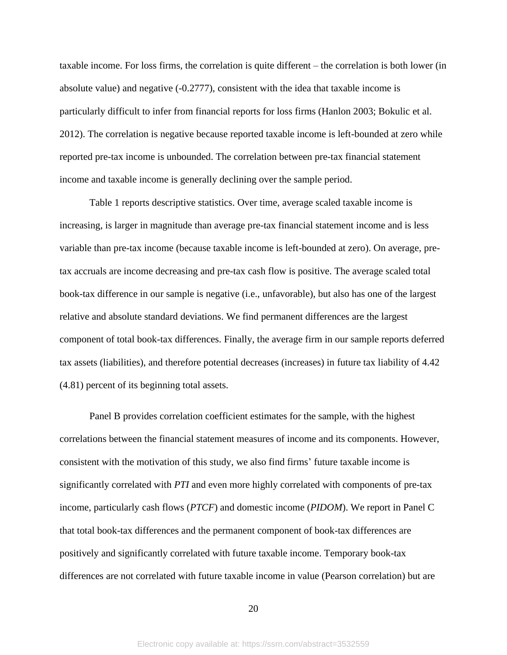taxable income. For loss firms, the correlation is quite different – the correlation is both lower (in absolute value) and negative (-0.2777), consistent with the idea that taxable income is particularly difficult to infer from financial reports for loss firms (Hanlon 2003; Bokulic et al. 2012). The correlation is negative because reported taxable income is left-bounded at zero while reported pre-tax income is unbounded. The correlation between pre-tax financial statement income and taxable income is generally declining over the sample period.

Table 1 reports descriptive statistics. Over time, average scaled taxable income is increasing, is larger in magnitude than average pre-tax financial statement income and is less variable than pre-tax income (because taxable income is left-bounded at zero). On average, pretax accruals are income decreasing and pre-tax cash flow is positive. The average scaled total book-tax difference in our sample is negative (i.e., unfavorable), but also has one of the largest relative and absolute standard deviations. We find permanent differences are the largest component of total book-tax differences. Finally, the average firm in our sample reports deferred tax assets (liabilities), and therefore potential decreases (increases) in future tax liability of 4.42 (4.81) percent of its beginning total assets.

Panel B provides correlation coefficient estimates for the sample, with the highest correlations between the financial statement measures of income and its components. However, consistent with the motivation of this study, we also find firms' future taxable income is significantly correlated with *PTI* and even more highly correlated with components of pre-tax income, particularly cash flows (*PTCF*) and domestic income (*PIDOM*). We report in Panel C that total book-tax differences and the permanent component of book-tax differences are positively and significantly correlated with future taxable income. Temporary book-tax differences are not correlated with future taxable income in value (Pearson correlation) but are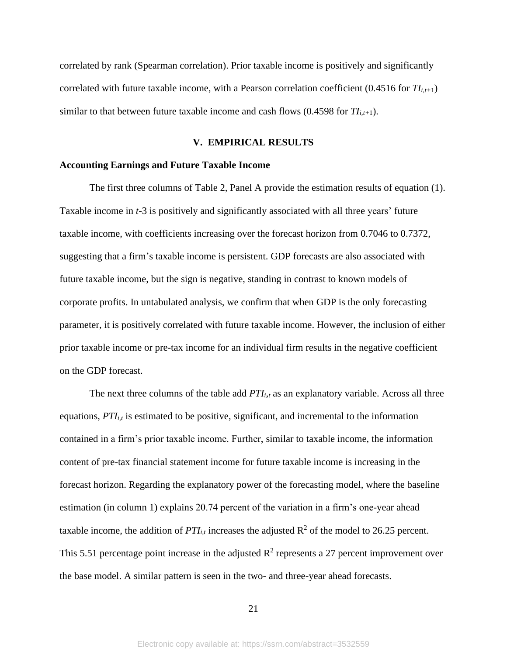correlated by rank (Spearman correlation). Prior taxable income is positively and significantly correlated with future taxable income, with a Pearson correlation coefficient (0.4516 for *TIi,t+*1) similar to that between future taxable income and cash flows  $(0.4598$  for  $TI_{i,t+1})$ .

#### **V. EMPIRICAL RESULTS**

#### **Accounting Earnings and Future Taxable Income**

The first three columns of Table 2, Panel A provide the estimation results of equation (1). Taxable income in *t*-3 is positively and significantly associated with all three years' future taxable income, with coefficients increasing over the forecast horizon from 0.7046 to 0.7372, suggesting that a firm's taxable income is persistent. GDP forecasts are also associated with future taxable income, but the sign is negative, standing in contrast to known models of corporate profits. In untabulated analysis, we confirm that when GDP is the only forecasting parameter, it is positively correlated with future taxable income. However, the inclusion of either prior taxable income or pre-tax income for an individual firm results in the negative coefficient on the GDP forecast.

The next three columns of the table add *PTIi,<sup>t</sup>* as an explanatory variable. Across all three equations, *PTI<sub>i,t</sub>* is estimated to be positive, significant, and incremental to the information contained in a firm's prior taxable income. Further, similar to taxable income, the information content of pre-tax financial statement income for future taxable income is increasing in the forecast horizon. Regarding the explanatory power of the forecasting model, where the baseline estimation (in column 1) explains 20.74 percent of the variation in a firm's one-year ahead taxable income, the addition of  $PTI_{i,t}$  increases the adjusted  $R^2$  of the model to 26.25 percent. This 5.51 percentage point increase in the adjusted  $\mathbb{R}^2$  represents a 27 percent improvement over the base model. A similar pattern is seen in the two- and three-year ahead forecasts.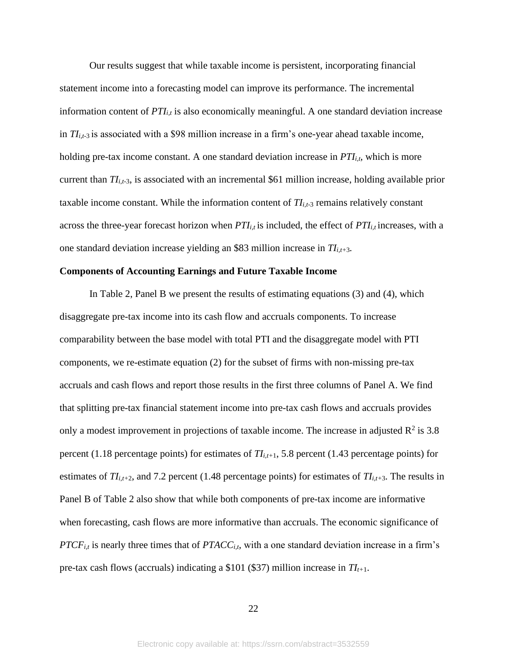Our results suggest that while taxable income is persistent, incorporating financial statement income into a forecasting model can improve its performance. The incremental information content of  $PTI_{i,t}$  is also economically meaningful. A one standard deviation increase in  $TI_{i,t-3}$  is associated with a \$98 million increase in a firm's one-year ahead taxable income, holding pre-tax income constant. A one standard deviation increase in *PTIi,t*, which is more current than *TIi,t-*3, is associated with an incremental \$61 million increase, holding available prior taxable income constant. While the information content of  $T_{i,t-3}$  remains relatively constant across the three-year forecast horizon when *PTIi,t* is included, the effect of *PTIi,t* increases, with a one standard deviation increase yielding an \$83 million increase in *TIi,t+*3*.*

#### **Components of Accounting Earnings and Future Taxable Income**

In Table 2, Panel B we present the results of estimating equations (3) and (4), which disaggregate pre-tax income into its cash flow and accruals components. To increase comparability between the base model with total PTI and the disaggregate model with PTI components, we re-estimate equation (2) for the subset of firms with non-missing pre-tax accruals and cash flows and report those results in the first three columns of Panel A. We find that splitting pre-tax financial statement income into pre-tax cash flows and accruals provides only a modest improvement in projections of taxable income. The increase in adjusted  $\mathbb{R}^2$  is 3.8 percent (1.18 percentage points) for estimates of *TIi,t+*1, 5.8 percent (1.43 percentage points) for estimates of  $TI_{i,t+2}$ , and 7.2 percent (1.48 percentage points) for estimates of  $TI_{i,t+3}$ . The results in Panel B of Table 2 also show that while both components of pre-tax income are informative when forecasting, cash flows are more informative than accruals. The economic significance of *PTCFi,t* is nearly three times that of *PTACCi,t,* with a one standard deviation increase in a firm's pre-tax cash flows (accruals) indicating a \$101 (\$37) million increase in *TIt+*1.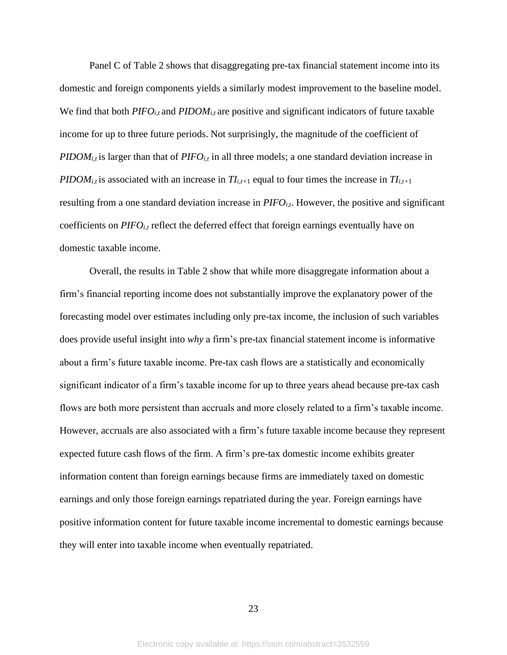Panel C of Table 2 shows that disaggregating pre-tax financial statement income into its domestic and foreign components yields a similarly modest improvement to the baseline model. We find that both  $PIFO_{i,t}$  and  $PIDOM_{i,t}$  are positive and significant indicators of future taxable income for up to three future periods. Not surprisingly, the magnitude of the coefficient of *PIDOM<sub>i,t</sub>* is larger than that of *PIFO*<sub>*i,t*</sub> in all three models; a one standard deviation increase in *PIDOM*<sub>*i,t*</sub> is associated with an increase in  $TI_{i,t+1}$  equal to four times the increase in  $TI_{i,t+1}$ resulting from a one standard deviation increase in *PIFOi,t*. However, the positive and significant coefficients on *PIFOi,t* reflect the deferred effect that foreign earnings eventually have on domestic taxable income.

Overall, the results in Table 2 show that while more disaggregate information about a firm's financial reporting income does not substantially improve the explanatory power of the forecasting model over estimates including only pre-tax income, the inclusion of such variables does provide useful insight into *why* a firm's pre-tax financial statement income is informative about a firm's future taxable income. Pre-tax cash flows are a statistically and economically significant indicator of a firm's taxable income for up to three years ahead because pre-tax cash flows are both more persistent than accruals and more closely related to a firm's taxable income. However, accruals are also associated with a firm's future taxable income because they represent expected future cash flows of the firm. A firm's pre-tax domestic income exhibits greater information content than foreign earnings because firms are immediately taxed on domestic earnings and only those foreign earnings repatriated during the year. Foreign earnings have positive information content for future taxable income incremental to domestic earnings because they will enter into taxable income when eventually repatriated.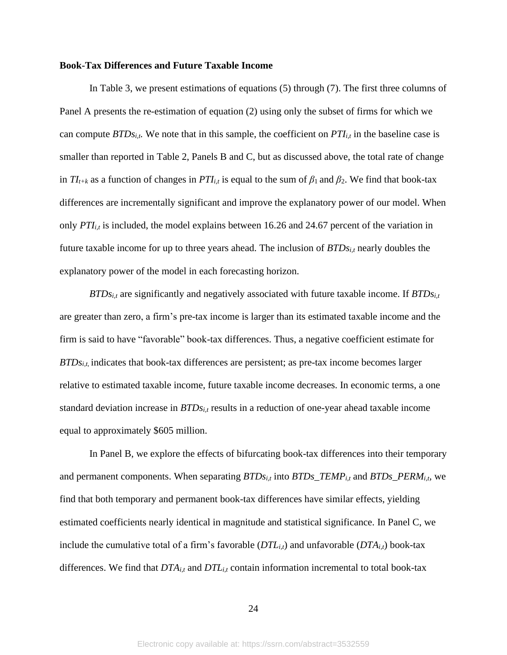#### **Book-Tax Differences and Future Taxable Income**

In Table 3, we present estimations of equations (5) through (7). The first three columns of Panel A presents the re-estimation of equation (2) using only the subset of firms for which we can compute *BTDsi,t.* We note that in this sample, the coefficient on *PTIi,t* in the baseline case is smaller than reported in Table 2, Panels B and C, but as discussed above, the total rate of change in  $TI_{t+k}$  as a function of changes in  $PTI_{i,t}$  is equal to the sum of  $\beta_1$  and  $\beta_2$ . We find that book-tax differences are incrementally significant and improve the explanatory power of our model. When only *PTIi,t* is included, the model explains between 16.26 and 24.67 percent of the variation in future taxable income for up to three years ahead. The inclusion of *BTDsi,t* nearly doubles the explanatory power of the model in each forecasting horizon.

*BTDsi,t* are significantly and negatively associated with future taxable income. If *BTDsi,t* are greater than zero, a firm's pre-tax income is larger than its estimated taxable income and the firm is said to have "favorable" book-tax differences. Thus, a negative coefficient estimate for *BTDs<sub>i,t,</sub>* indicates that book-tax differences are persistent; as pre-tax income becomes larger relative to estimated taxable income, future taxable income decreases. In economic terms, a one standard deviation increase in *BTDsi,t* results in a reduction of one-year ahead taxable income equal to approximately \$605 million.

In Panel B, we explore the effects of bifurcating book-tax differences into their temporary and permanent components. When separating *BTDsi,t* into *BTDs\_TEMPi,t* and *BTDs\_PERMi,t,* we find that both temporary and permanent book-tax differences have similar effects, yielding estimated coefficients nearly identical in magnitude and statistical significance. In Panel C, we include the cumulative total of a firm's favorable (*DTLi,t*) and unfavorable (*DTAi,t*) book-tax differences. We find that *DTAi,t* and *DTLi,t* contain information incremental to total book-tax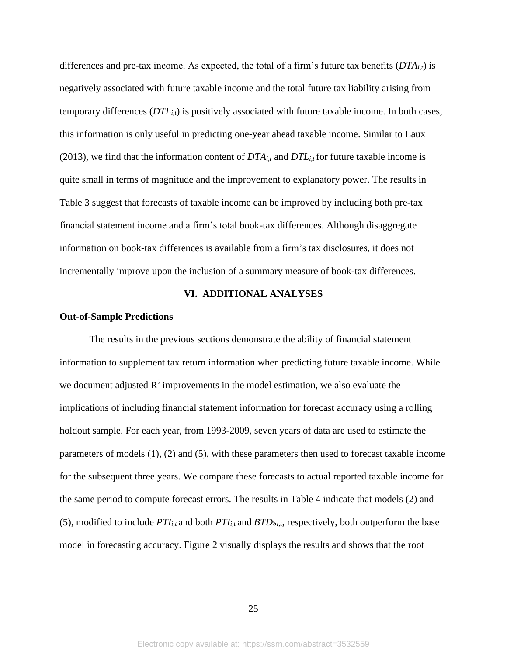differences and pre-tax income. As expected, the total of a firm's future tax benefits  $(DTA_{i,t})$  is negatively associated with future taxable income and the total future tax liability arising from temporary differences (*DTLi,t*) is positively associated with future taxable income. In both cases, this information is only useful in predicting one-year ahead taxable income. Similar to Laux (2013), we find that the information content of  $DTA_{i,t}$  and  $DTL_{i,t}$  for future taxable income is quite small in terms of magnitude and the improvement to explanatory power. The results in Table 3 suggest that forecasts of taxable income can be improved by including both pre-tax financial statement income and a firm's total book-tax differences. Although disaggregate information on book-tax differences is available from a firm's tax disclosures, it does not incrementally improve upon the inclusion of a summary measure of book-tax differences.

#### **VI. ADDITIONAL ANALYSES**

#### **Out-of-Sample Predictions**

The results in the previous sections demonstrate the ability of financial statement information to supplement tax return information when predicting future taxable income. While we document adjusted  $\mathbb{R}^2$  improvements in the model estimation, we also evaluate the implications of including financial statement information for forecast accuracy using a rolling holdout sample. For each year, from 1993-2009, seven years of data are used to estimate the parameters of models (1), (2) and (5), with these parameters then used to forecast taxable income for the subsequent three years. We compare these forecasts to actual reported taxable income for the same period to compute forecast errors. The results in Table 4 indicate that models (2) and (5), modified to include  $PTI_{i,t}$  and both  $PTI_{i,t}$  and  $BTDs_{i,t}$ , respectively, both outperform the base model in forecasting accuracy. Figure 2 visually displays the results and shows that the root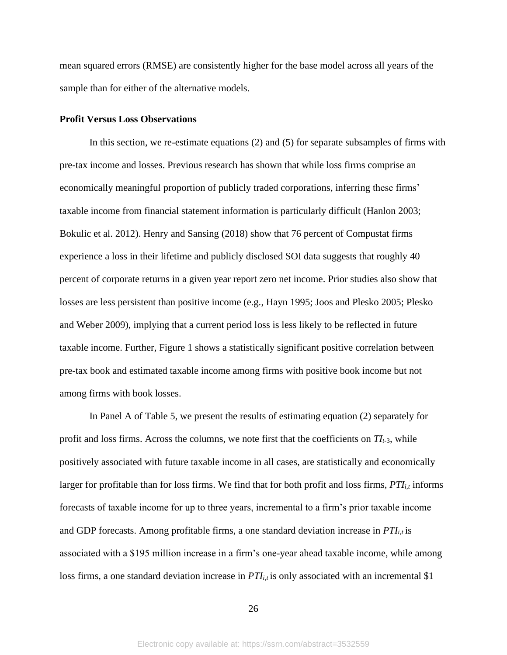mean squared errors (RMSE) are consistently higher for the base model across all years of the sample than for either of the alternative models.

#### **Profit Versus Loss Observations**

In this section, we re-estimate equations (2) and (5) for separate subsamples of firms with pre-tax income and losses. Previous research has shown that while loss firms comprise an economically meaningful proportion of publicly traded corporations, inferring these firms' taxable income from financial statement information is particularly difficult (Hanlon 2003; Bokulic et al. 2012). Henry and Sansing (2018) show that 76 percent of Compustat firms experience a loss in their lifetime and publicly disclosed SOI data suggests that roughly 40 percent of corporate returns in a given year report zero net income. Prior studies also show that losses are less persistent than positive income (e.g., Hayn 1995; Joos and Plesko 2005; Plesko and Weber 2009), implying that a current period loss is less likely to be reflected in future taxable income. Further, Figure 1 shows a statistically significant positive correlation between pre-tax book and estimated taxable income among firms with positive book income but not among firms with book losses.

In Panel A of Table 5, we present the results of estimating equation (2) separately for profit and loss firms. Across the columns, we note first that the coefficients on  $T_{t-3}$ , while positively associated with future taxable income in all cases, are statistically and economically larger for profitable than for loss firms. We find that for both profit and loss firms, *PTIi,t* informs forecasts of taxable income for up to three years, incremental to a firm's prior taxable income and GDP forecasts. Among profitable firms, a one standard deviation increase in *PTI*<sub>*i,t*</sub> is associated with a \$195 million increase in a firm's one-year ahead taxable income, while among loss firms, a one standard deviation increase in *PTI*<sub>*i*t</sub> is only associated with an incremental \$1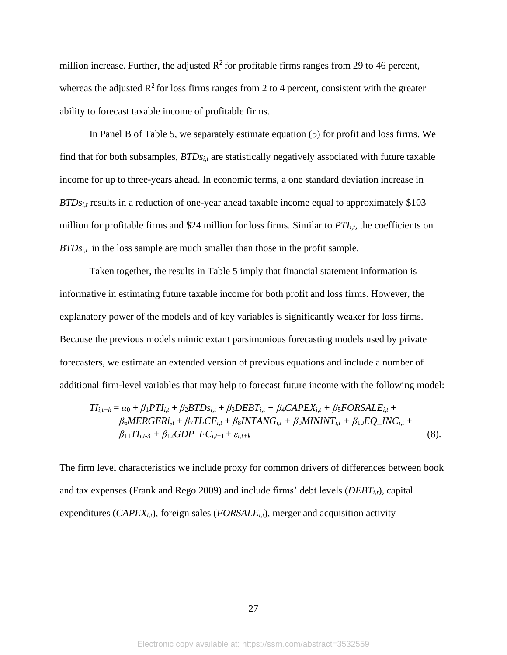million increase. Further, the adjusted  $\mathbb{R}^2$  for profitable firms ranges from 29 to 46 percent, whereas the adjusted  $\mathbb{R}^2$  for loss firms ranges from 2 to 4 percent, consistent with the greater ability to forecast taxable income of profitable firms.

In Panel B of Table 5, we separately estimate equation (5) for profit and loss firms. We find that for both subsamples, *BTDsi,t* are statistically negatively associated with future taxable income for up to three-years ahead. In economic terms, a one standard deviation increase in  $BTDs<sub>i,t</sub>$  results in a reduction of one-year ahead taxable income equal to approximately \$103 million for profitable firms and \$24 million for loss firms. Similar to *PTIi,t*, the coefficients on *BTDs<sub>i,t</sub>* in the loss sample are much smaller than those in the profit sample.

Taken together, the results in Table 5 imply that financial statement information is informative in estimating future taxable income for both profit and loss firms. However, the explanatory power of the models and of key variables is significantly weaker for loss firms. Because the previous models mimic extant parsimonious forecasting models used by private forecasters, we estimate an extended version of previous equations and include a number of additional firm-level variables that may help to forecast future income with the following model:

$$
TI_{i,t+k} = \alpha_0 + \beta_1 PTI_{i,t} + \beta_2 BTDs_{i,t} + \beta_3 DEBT_{i,t} + \beta_4 CAPEX_{i,t} + \beta_5 FORSALE_{i,t} + \n\beta_6 MERGER_{i,t} + \beta_7 TLCF_{i,t} + \beta_8 INTANG_{i,t} + \beta_9 MININT_{i,t} + \beta_{10} EQ\_INC_{i,t} + \n\beta_{11} TI_{i,t-3} + \beta_{12} GDP\_FC_{i,t+1} + \varepsilon_{i,t+k}
$$
\n(8).

The firm level characteristics we include proxy for common drivers of differences between book and tax expenses (Frank and Rego 2009) and include firms' debt levels (*DEBTi,t*), capital expenditures ( $CAPEX_{i,t}$ ), foreign sales ( $FORSALE_{i,t}$ ), merger and acquisition activity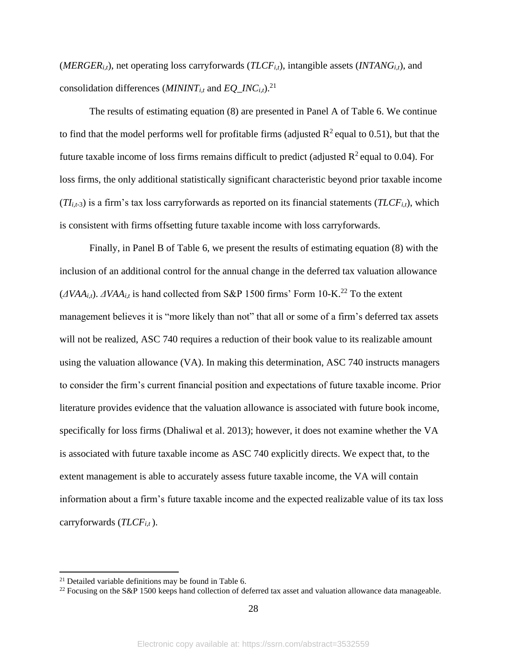(*MERGER<sub>it</sub>*), net operating loss carryforwards (*TLCF<sub>it</sub>*), intangible assets (*INTANG*<sub>*it*</sub>), and consolidation differences ( $MININT_{i,t}$  and  $EQ\_INC_{i,t}$ ).<sup>21</sup>

The results of estimating equation (8) are presented in Panel A of Table 6. We continue to find that the model performs well for profitable firms (adjusted  $R^2$  equal to 0.51), but that the future taxable income of loss firms remains difficult to predict (adjusted  $R^2$  equal to 0.04). For loss firms, the only additional statistically significant characteristic beyond prior taxable income  $(TI_{i,t-3})$  is a firm's tax loss carryforwards as reported on its financial statements  $(TLCF_{i,t})$ , which is consistent with firms offsetting future taxable income with loss carryforwards.

Finally, in Panel B of Table 6, we present the results of estimating equation (8) with the inclusion of an additional control for the annual change in the deferred tax valuation allowance  $(\Delta VAA_{i,t})$ .  $\Delta VAA_{i,t}$  is hand collected from S&P 1500 firms' Form 10-K.<sup>22</sup> To the extent management believes it is "more likely than not" that all or some of a firm's deferred tax assets will not be realized, ASC 740 requires a reduction of their book value to its realizable amount using the valuation allowance (VA). In making this determination, ASC 740 instructs managers to consider the firm's current financial position and expectations of future taxable income. Prior literature provides evidence that the valuation allowance is associated with future book income, specifically for loss firms (Dhaliwal et al. 2013); however, it does not examine whether the VA is associated with future taxable income as ASC 740 explicitly directs. We expect that, to the extent management is able to accurately assess future taxable income, the VA will contain information about a firm's future taxable income and the expected realizable value of its tax loss carryforwards (*TLCFi,t* ).

<sup>&</sup>lt;sup>21</sup> Detailed variable definitions may be found in Table 6.

<sup>&</sup>lt;sup>22</sup> Focusing on the S&P 1500 keeps hand collection of deferred tax asset and valuation allowance data manageable.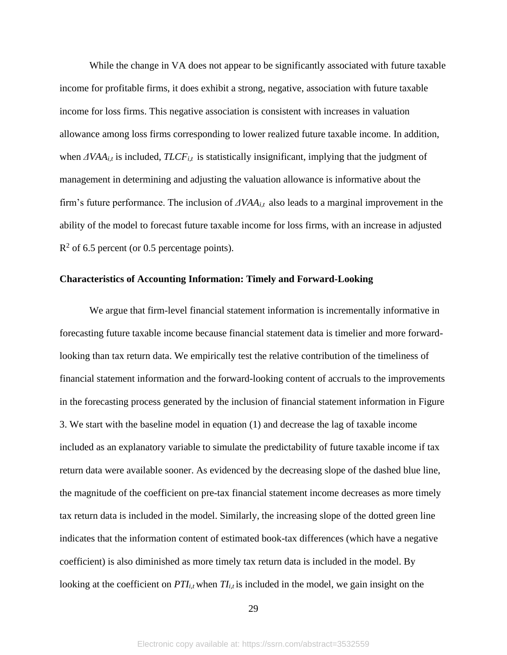While the change in VA does not appear to be significantly associated with future taxable income for profitable firms, it does exhibit a strong, negative, association with future taxable income for loss firms. This negative association is consistent with increases in valuation allowance among loss firms corresponding to lower realized future taxable income. In addition, when  $\Delta VAA_{i,t}$  is included,  $TLCF_{i,t}$  is statistically insignificant, implying that the judgment of management in determining and adjusting the valuation allowance is informative about the firm's future performance. The inclusion of *ΔVAAi,t* also leads to a marginal improvement in the ability of the model to forecast future taxable income for loss firms, with an increase in adjusted  $R<sup>2</sup>$  of 6.5 percent (or 0.5 percentage points).

#### **Characteristics of Accounting Information: Timely and Forward-Looking**

We argue that firm-level financial statement information is incrementally informative in forecasting future taxable income because financial statement data is timelier and more forwardlooking than tax return data. We empirically test the relative contribution of the timeliness of financial statement information and the forward-looking content of accruals to the improvements in the forecasting process generated by the inclusion of financial statement information in Figure 3. We start with the baseline model in equation (1) and decrease the lag of taxable income included as an explanatory variable to simulate the predictability of future taxable income if tax return data were available sooner. As evidenced by the decreasing slope of the dashed blue line, the magnitude of the coefficient on pre-tax financial statement income decreases as more timely tax return data is included in the model. Similarly, the increasing slope of the dotted green line indicates that the information content of estimated book-tax differences (which have a negative coefficient) is also diminished as more timely tax return data is included in the model. By looking at the coefficient on  $PTI_{i,t}$  when  $TI_{i,t}$  is included in the model, we gain insight on the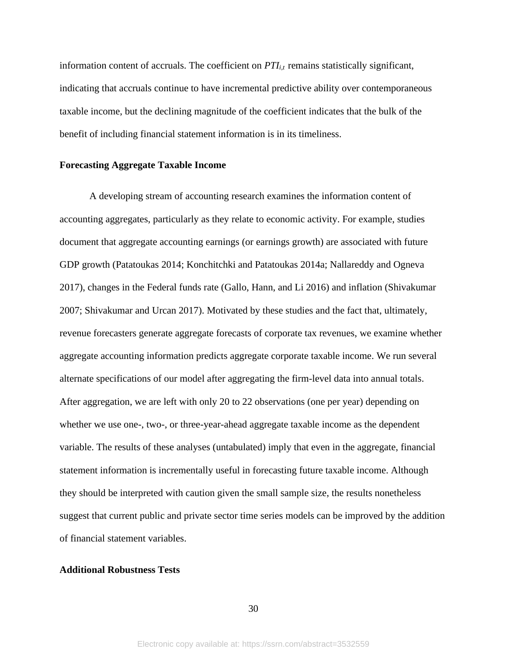information content of accruals. The coefficient on *PTIi,t* remains statistically significant, indicating that accruals continue to have incremental predictive ability over contemporaneous taxable income, but the declining magnitude of the coefficient indicates that the bulk of the benefit of including financial statement information is in its timeliness.

#### **Forecasting Aggregate Taxable Income**

A developing stream of accounting research examines the information content of accounting aggregates, particularly as they relate to economic activity. For example, studies document that aggregate accounting earnings (or earnings growth) are associated with future GDP growth (Patatoukas 2014; Konchitchki and Patatoukas 2014a; Nallareddy and Ogneva 2017), changes in the Federal funds rate (Gallo, Hann, and Li 2016) and inflation (Shivakumar 2007; Shivakumar and Urcan 2017). Motivated by these studies and the fact that, ultimately, revenue forecasters generate aggregate forecasts of corporate tax revenues, we examine whether aggregate accounting information predicts aggregate corporate taxable income. We run several alternate specifications of our model after aggregating the firm-level data into annual totals. After aggregation, we are left with only 20 to 22 observations (one per year) depending on whether we use one-, two-, or three-year-ahead aggregate taxable income as the dependent variable. The results of these analyses (untabulated) imply that even in the aggregate, financial statement information is incrementally useful in forecasting future taxable income. Although they should be interpreted with caution given the small sample size, the results nonetheless suggest that current public and private sector time series models can be improved by the addition of financial statement variables.

#### **Additional Robustness Tests**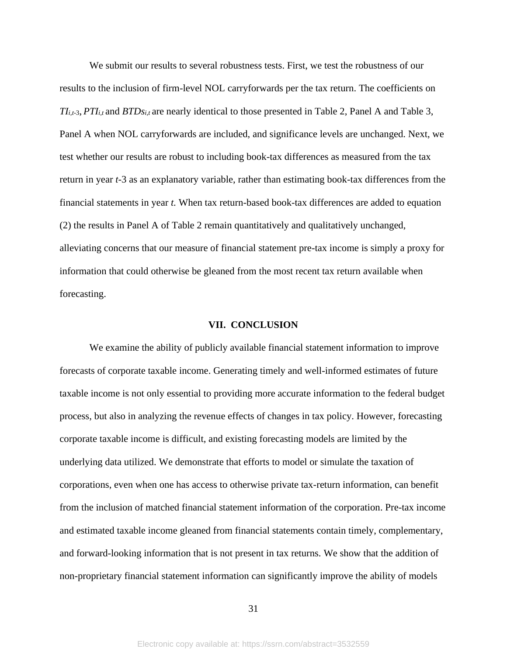We submit our results to several robustness tests. First, we test the robustness of our results to the inclusion of firm-level NOL carryforwards per the tax return. The coefficients on  $TI_{i,t-3}$ , *PTI*<sub>*i*,t</sub> and *BTDs*<sub>*i*,t</sub> are nearly identical to those presented in Table 2, Panel A and Table 3, Panel A when NOL carryforwards are included, and significance levels are unchanged. Next, we test whether our results are robust to including book-tax differences as measured from the tax return in year *t-*3 as an explanatory variable, rather than estimating book-tax differences from the financial statements in year *t.* When tax return-based book-tax differences are added to equation (2) the results in Panel A of Table 2 remain quantitatively and qualitatively unchanged, alleviating concerns that our measure of financial statement pre-tax income is simply a proxy for information that could otherwise be gleaned from the most recent tax return available when forecasting.

#### **VII. CONCLUSION**

We examine the ability of publicly available financial statement information to improve forecasts of corporate taxable income. Generating timely and well-informed estimates of future taxable income is not only essential to providing more accurate information to the federal budget process, but also in analyzing the revenue effects of changes in tax policy. However, forecasting corporate taxable income is difficult, and existing forecasting models are limited by the underlying data utilized. We demonstrate that efforts to model or simulate the taxation of corporations, even when one has access to otherwise private tax-return information, can benefit from the inclusion of matched financial statement information of the corporation. Pre-tax income and estimated taxable income gleaned from financial statements contain timely, complementary, and forward-looking information that is not present in tax returns. We show that the addition of non-proprietary financial statement information can significantly improve the ability of models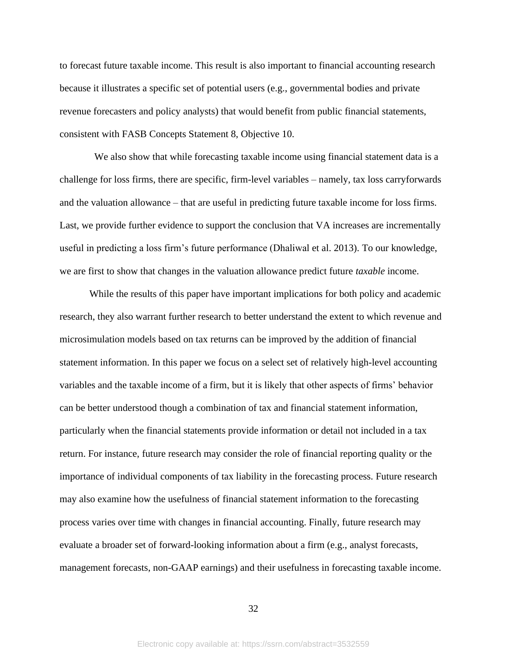to forecast future taxable income. This result is also important to financial accounting research because it illustrates a specific set of potential users (e.g., governmental bodies and private revenue forecasters and policy analysts) that would benefit from public financial statements, consistent with FASB Concepts Statement 8, Objective 10.

We also show that while forecasting taxable income using financial statement data is a challenge for loss firms, there are specific, firm-level variables – namely, tax loss carryforwards and the valuation allowance – that are useful in predicting future taxable income for loss firms. Last, we provide further evidence to support the conclusion that VA increases are incrementally useful in predicting a loss firm's future performance (Dhaliwal et al. 2013). To our knowledge, we are first to show that changes in the valuation allowance predict future *taxable* income.

While the results of this paper have important implications for both policy and academic research, they also warrant further research to better understand the extent to which revenue and microsimulation models based on tax returns can be improved by the addition of financial statement information. In this paper we focus on a select set of relatively high-level accounting variables and the taxable income of a firm, but it is likely that other aspects of firms' behavior can be better understood though a combination of tax and financial statement information, particularly when the financial statements provide information or detail not included in a tax return. For instance, future research may consider the role of financial reporting quality or the importance of individual components of tax liability in the forecasting process. Future research may also examine how the usefulness of financial statement information to the forecasting process varies over time with changes in financial accounting. Finally, future research may evaluate a broader set of forward-looking information about a firm (e.g., analyst forecasts, management forecasts, non-GAAP earnings) and their usefulness in forecasting taxable income.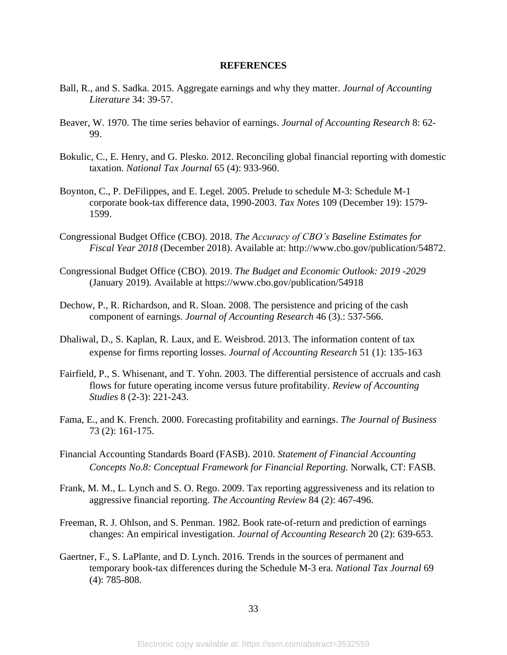#### **REFERENCES**

- Ball, R., and S. Sadka. 2015. Aggregate earnings and why they matter. *Journal of Accounting Literature* 34: 39-57.
- Beaver, W. 1970. The time series behavior of earnings. *Journal of Accounting Research* 8: 62- 99.
- Bokulic, C., E. Henry, and G. Plesko. 2012. Reconciling global financial reporting with domestic taxation. *National Tax Journal* 65 (4): 933-960.
- Boynton, C., P. DeFilippes, and E. Legel. 2005. Prelude to schedule M-3: Schedule M-1 corporate book-tax difference data, 1990-2003. *Tax Notes* 109 (December 19): 1579- 1599.
- Congressional Budget Office (CBO). 2018. *The Accuracy of CBO's Baseline Estimates for Fiscal Year 2018* (December 2018). Available at: http://www.cbo.gov/publication/54872.
- Congressional Budget Office (CBO). 2019. *The Budget and Economic Outlook: 2019 -2029* (January 2019). Available at https://www.cbo.gov/publication/54918
- Dechow, P., R. Richardson, and R. Sloan. 2008. The persistence and pricing of the cash component of earnings. *Journal of Accounting Research* 46 (3).: 537-566.
- Dhaliwal, D., S. Kaplan, R. Laux, and E. Weisbrod. 2013. The information content of tax expense for firms reporting losses. *Journal of Accounting Research* 51 (1): 135-163
- Fairfield, P., S. Whisenant, and T. Yohn. 2003. The differential persistence of accruals and cash flows for future operating income versus future profitability. *Review of Accounting Studies* 8 (2-3): 221-243.
- Fama, E., and K. French. 2000. Forecasting profitability and earnings. *The Journal of Business* 73 (2): 161-175.
- Financial Accounting Standards Board (FASB). 2010. *Statement of Financial Accounting Concepts No.8: Conceptual Framework for Financial Reporting.* Norwalk, CT: FASB.
- Frank, M. M., L. Lynch and S. O. Rego. 2009. Tax reporting aggressiveness and its relation to aggressive financial reporting. *The Accounting Review* 84 (2): 467-496.
- Freeman, R. J. Ohlson, and S. Penman. 1982. Book rate-of-return and prediction of earnings changes: An empirical investigation. *Journal of Accounting Research* 20 (2): 639-653.
- Gaertner, F., S. LaPlante, and D. Lynch. 2016. Trends in the sources of permanent and temporary book-tax differences during the Schedule M-3 era. *National Tax Journal* 69 (4): 785-808.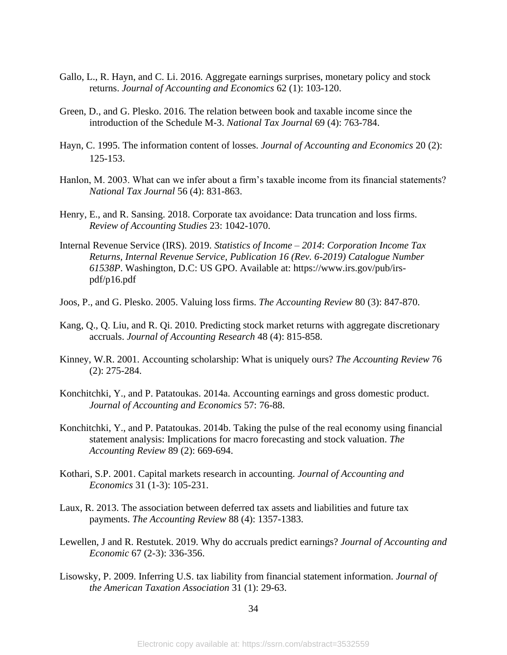- Gallo, L., R. Hayn, and C. Li. 2016. Aggregate earnings surprises, monetary policy and stock returns. *Journal of Accounting and Economics* 62 (1): 103-120.
- Green, D., and G. Plesko. 2016. The relation between book and taxable income since the introduction of the Schedule M-3. *National Tax Journal* 69 (4): 763-784.
- Hayn, C. 1995. The information content of losses. *Journal of Accounting and Economics* 20 (2): 125-153.
- Hanlon, M. 2003. What can we infer about a firm's taxable income from its financial statements? *National Tax Journal* 56 (4): 831-863.
- Henry, E., and R. Sansing. 2018. Corporate tax avoidance: Data truncation and loss firms. *Review of Accounting Studies* 23: 1042-1070.
- Internal Revenue Service (IRS). 2019. *Statistics of Income – 2014*: *Corporation Income Tax Returns, Internal Revenue Service, Publication 16 (Rev. 6-2019) Catalogue Number 61538P*. Washington, D.C: US GPO. Available at: https://www.irs.gov/pub/irspdf/p16.pdf
- Joos, P., and G. Plesko. 2005. Valuing loss firms. *The Accounting Review* 80 (3): 847-870.
- Kang, Q., Q. Liu, and R. Qi. 2010. Predicting stock market returns with aggregate discretionary accruals. *Journal of Accounting Research* 48 (4): 815-858.
- Kinney, W.R. 2001. Accounting scholarship: What is uniquely ours? *The Accounting Review* 76 (2): 275-284.
- Konchitchki, Y., and P. Patatoukas. 2014a. Accounting earnings and gross domestic product. *Journal of Accounting and Economics* 57: 76-88.
- Konchitchki, Y., and P. Patatoukas. 2014b. Taking the pulse of the real economy using financial statement analysis: Implications for macro forecasting and stock valuation. *The Accounting Review* 89 (2): 669-694.
- Kothari, S.P. 2001. Capital markets research in accounting. *Journal of Accounting and Economics* 31 (1-3): 105-231.
- Laux, R. 2013. The association between deferred tax assets and liabilities and future tax payments. *The Accounting Review* 88 (4): 1357-1383.
- Lewellen, J and R. Restutek. 2019. Why do accruals predict earnings? *Journal of Accounting and Economic* 67 (2-3): 336-356.
- Lisowsky, P. 2009. Inferring U.S. tax liability from financial statement information. *Journal of the American Taxation Association* 31 (1): 29-63.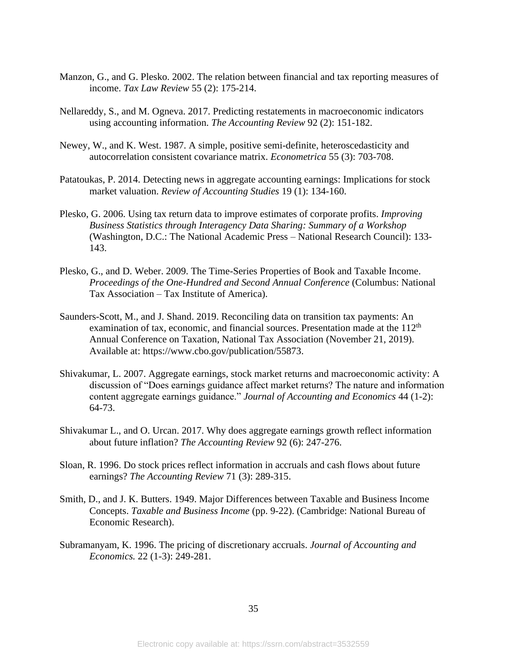- Manzon, G., and G. Plesko. 2002. The relation between financial and tax reporting measures of income. *Tax Law Review* 55 (2): 175-214.
- Nellareddy, S., and M. Ogneva. 2017. Predicting restatements in macroeconomic indicators using accounting information. *The Accounting Review* 92 (2): 151-182.
- Newey, W., and K. West. 1987. A simple, positive semi-definite, heteroscedasticity and autocorrelation consistent covariance matrix. *Econometrica* 55 (3): 703-708.
- Patatoukas, P. 2014. Detecting news in aggregate accounting earnings: Implications for stock market valuation. *Review of Accounting Studies* 19 (1): 134-160.
- Plesko, G. 2006. Using tax return data to improve estimates of corporate profits. *Improving Business Statistics through Interagency Data Sharing: Summary of a Workshop* (Washington, D.C.: The National Academic Press – National Research Council): 133- 143.
- Plesko, G., and D. Weber. 2009. The Time-Series Properties of Book and Taxable Income. *Proceedings of the One-Hundred and Second Annual Conference* (Columbus: National Tax Association – Tax Institute of America).
- Saunders-Scott, M., and J. Shand. 2019. Reconciling data on transition tax payments: An examination of tax, economic, and financial sources. Presentation made at the 112<sup>th</sup> Annual Conference on Taxation, National Tax Association (November 21, 2019). Available at: https://www.cbo.gov/publication/55873.
- Shivakumar, L. 2007. Aggregate earnings, stock market returns and macroeconomic activity: A discussion of "Does earnings guidance affect market returns? The nature and information content aggregate earnings guidance." *Journal of Accounting and Economics* 44 (1-2): 64-73.
- Shivakumar L., and O. Urcan. 2017. Why does aggregate earnings growth reflect information about future inflation? *The Accounting Review* 92 (6): 247-276.
- Sloan, R. 1996. Do stock prices reflect information in accruals and cash flows about future earnings? *The Accounting Review* 71 (3): 289-315.
- Smith, D., and J. K. Butters. 1949. Major Differences between Taxable and Business Income Concepts. *Taxable and Business Income* (pp. 9-22). (Cambridge: National Bureau of Economic Research).
- Subramanyam, K. 1996. The pricing of discretionary accruals. *Journal of Accounting and Economics.* 22 (1-3): 249-281.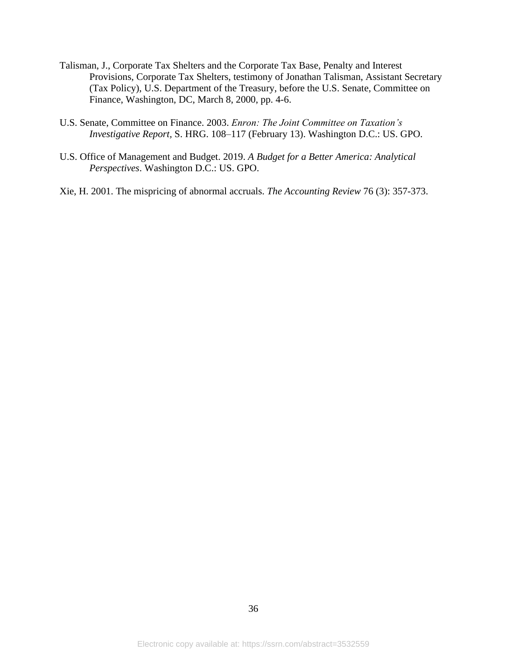- Talisman, J., Corporate Tax Shelters and the Corporate Tax Base, Penalty and Interest Provisions, Corporate Tax Shelters, testimony of Jonathan Talisman, Assistant Secretary (Tax Policy), U.S. Department of the Treasury, before the U.S. Senate, Committee on Finance, Washington, DC, March 8, 2000, pp. 4-6.
- U.S. Senate, Committee on Finance. 2003. *Enron: The Joint Committee on Taxation's Investigative Report,* S. HRG. 108–117 (February 13). Washington D.C.: US. GPO.
- U.S. Office of Management and Budget. 2019. *A Budget for a Better America: Analytical Perspectives*. Washington D.C.: US. GPO.
- Xie, H. 2001. The mispricing of abnormal accruals. *The Accounting Review* 76 (3): 357-373.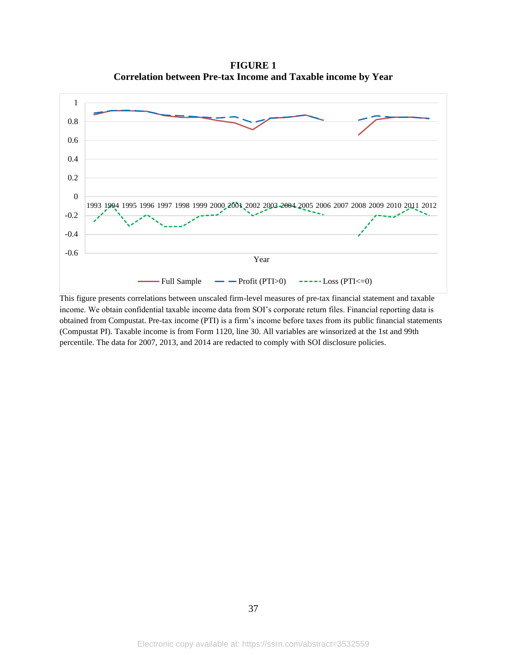**FIGURE 1 Correlation between Pre-tax Income and Taxable income by Year**



This figure presents correlations between unscaled firm-level measures of pre-tax financial statement and taxable income. We obtain confidential taxable income data from SOI's corporate return files. Financial reporting data is obtained from Compustat. Pre-tax income (PTI) is a firm's income before taxes from its public financial statements (Compustat PI). Taxable income is from Form 1120, line 30. All variables are winsorized at the 1st and 99th percentile. The data for 2007, 2013, and 2014 are redacted to comply with SOI disclosure policies.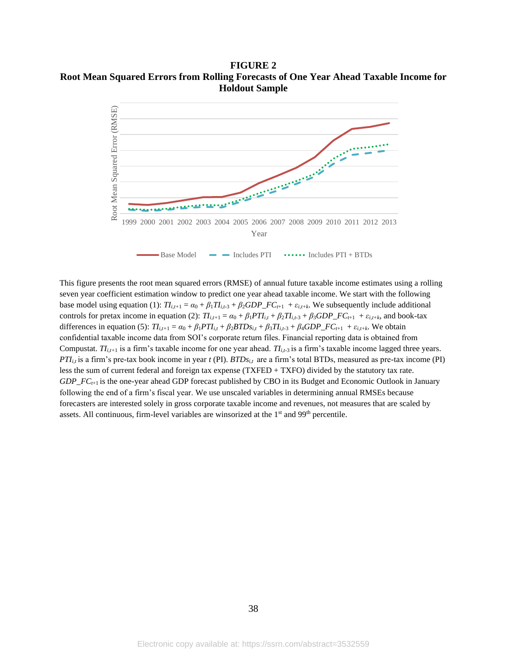**FIGURE 2 Root Mean Squared Errors from Rolling Forecasts of One Year Ahead Taxable Income for Holdout Sample**



This figure presents the root mean squared errors (RMSE) of annual future taxable income estimates using a rolling seven year coefficient estimation window to predict one year ahead taxable income. We start with the following base model using equation (1):  $TI_{i,t+1} = \alpha_0 + \beta_1TI_{i,t-3} + \beta_2GDP\_FC_{t+1} + \varepsilon_{i,t+k}$ . We subsequently include additional controls for pretax income in equation (2):  $T_{i,t+1} = \alpha_0 + \beta_1 PT_{i,t} + \beta_2 TI_{i,t-3} + \beta_3 GDP\_FC_{t+1} + \varepsilon_{i,t+k}$ , and book-tax differences in equation (5):  $TI_{i,t+1} = \alpha_0 + \beta_1 PTI_{i,t} + \beta_2 BTDs_{i,t} + \beta_3 TI_{i,t-3} + \beta_4 GDP\_FC_{t+1} + \varepsilon_{i,t+k}$ . We obtain confidential taxable income data from SOI's corporate return files. Financial reporting data is obtained from Compustat. *TIi,t+*<sup>1</sup> is a firm's taxable income for one year ahead. *TIi,t-*<sup>3</sup> is a firm's taxable income lagged three years.  $PTI_{i,t}$  is a firm's pre-tax book income in year  $t$  (PI).  $BTDs_{i,t}$  are a firm's total BTDs, measured as pre-tax income (PI) less the sum of current federal and foreign tax expense (TXFED + TXFO) divided by the statutory tax rate. *GDP\_FCt*+1 is the one-year ahead GDP forecast published by CBO in its Budget and Economic Outlook in January following the end of a firm's fiscal year. We use unscaled variables in determining annual RMSEs because forecasters are interested solely in gross corporate taxable income and revenues, not measures that are scaled by assets. All continuous, firm-level variables are winsorized at the 1<sup>st</sup> and 99<sup>th</sup> percentile.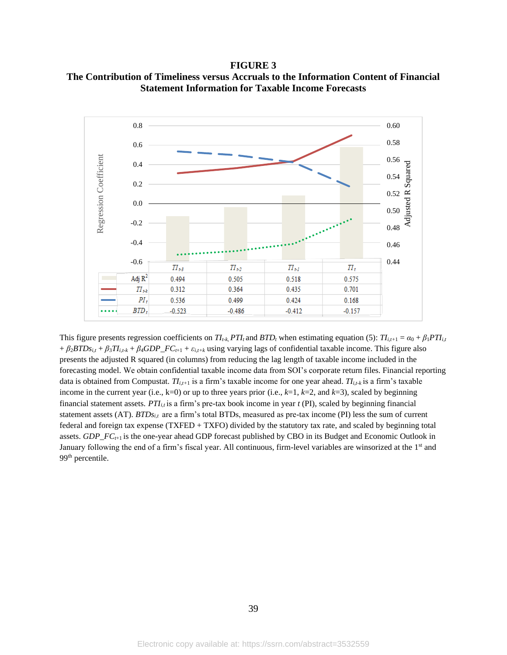**FIGURE 3 The Contribution of Timeliness versus Accruals to the Information Content of Financial Statement Information for Taxable Income Forecasts**



This figure presents regression coefficients on  $T I_{t-k}$ ,  $PT I_t$  and  $BTD_t$  when estimating equation (5):  $T I_{i,t+1} = \alpha_0 + \beta_1 PT I_{i,t}$  $+ \beta_2 B T D s_{i,t} + \beta_3 T I_{i,t-k} + \beta_4 G D P_{-} F C_{t+1} + \varepsilon_{i,t+k}$  using varying lags of confidential taxable income. This figure also presents the adjusted R squared (in columns) from reducing the lag length of taxable income included in the forecasting model. We obtain confidential taxable income data from SOI's corporate return files. Financial reporting data is obtained from Compustat. *TIi,t+*<sup>1</sup> is a firm's taxable income for one year ahead. *TIi,t-k* is a firm's taxable income in the current year (i.e., k=0) or up to three years prior (i.e., *k*=1, *k*=2, and *k*=3), scaled by beginning financial statement assets. *PTI<sub>ij</sub>* is a firm's pre-tax book income in year  $t$  (PI), scaled by beginning financial statement assets (AT). *BTDs*<sub>*it*</sub> are a firm's total BTDs, measured as pre-tax income (PI) less the sum of current federal and foreign tax expense (TXFED + TXFO) divided by the statutory tax rate, and scaled by beginning total assets. *GDP\_FCt*+1 is the one-year ahead GDP forecast published by CBO in its Budget and Economic Outlook in January following the end of a firm's fiscal year. All continuous, firm-level variables are winsorized at the 1<sup>st</sup> and 99<sup>th</sup> percentile.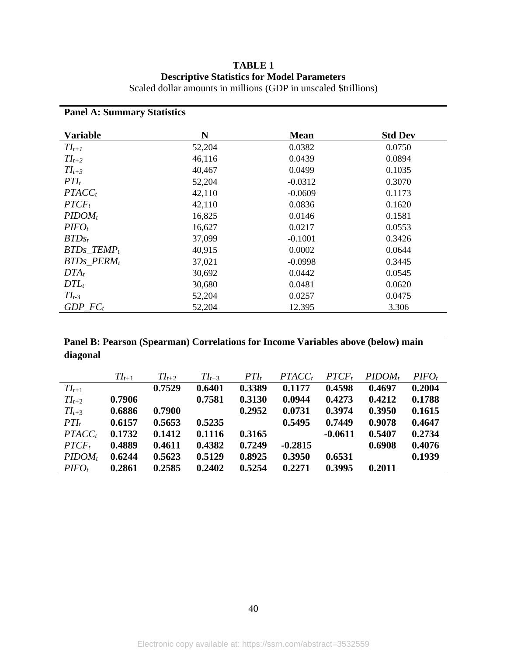|  | <b>TABLE 1</b> |                                                    |                |
|--|----------------|----------------------------------------------------|----------------|
|  |                | <b>Descriptive Statistics for Model Parameters</b> |                |
|  |                |                                                    | $\blacksquare$ |

|  | Scaled dollar amounts in millions (GDP in unscaled \$trillions) |
|--|-----------------------------------------------------------------|
|--|-----------------------------------------------------------------|

### **Panel A: Summary Statistics Variable N Mean Std Dev** *TIt+1* 52,204 0.0382 0.0750 *TIt+2* 46,116 0.0439 0.0894 *TIt+3* 40,467 0.0499 0.1035 *PTI*<sub>t</sub> 52,204 -0.0312 0.3070 *PTACC<sub>t</sub>* 42,110 -0.0609 0.1173 *PTCF<sub>t</sub>* 42,110 0.0836 0.1620 *PIDOM<sub>t</sub>* 16,825 0.0146 0.1581 *PIFO<sub>t</sub>* 16,627 0.0217 0.0553 *BTDs<sub>t</sub>* 37,099 -0.1001 0.3426 *BTDs\_TEMP<sub>t</sub>* 40,915 0.0002 0.0644 *BTDs\_PERM<sub>t</sub>* 37,021 -0.0998 0.3445 *DTA<sub>t</sub>* 30,692 0.0442 0.0545 *DTL<sub>t</sub>* 30,680 0.0481 0.0620 *TIt-3* 52,204 0.0257 0.0475 *GDP\_FC<sup>t</sup>* 52,204 12.395 3.306

**Panel B: Pearson (Spearman) Correlations for Income Variables above (below) main diagonal**

|            | $TI_{t+1}$ | $TI_{t+2}$ | $TI_{t+3}$ | $PTI_t$ | $PTACC_t$ | $PTCF_t$  | $PIDOM_t$ | $PIFO_t$ |
|------------|------------|------------|------------|---------|-----------|-----------|-----------|----------|
| $TI_{t+1}$ |            | 0.7529     | 0.6401     | 0.3389  | 0.1177    | 0.4598    | 0.4697    | 0.2004   |
| $TI_{t+2}$ | 0.7906     |            | 0.7581     | 0.3130  | 0.0944    | 0.4273    | 0.4212    | 0.1788   |
| $TI_{t+3}$ | 0.6886     | 0.7900     |            | 0.2952  | 0.0731    | 0.3974    | 0.3950    | 0.1615   |
| $PTI_t$    | 0.6157     | 0.5653     | 0.5235     |         | 0.5495    | 0.7449    | 0.9078    | 0.4647   |
| $PTACC_t$  | 0.1732     | 0.1412     | 0.1116     | 0.3165  |           | $-0.0611$ | 0.5407    | 0.2734   |
| $PTCF_t$   | 0.4889     | 0.4611     | 0.4382     | 0.7249  | $-0.2815$ |           | 0.6908    | 0.4076   |
| $PIDOM_t$  | 0.6244     | 0.5623     | 0.5129     | 0.8925  | 0.3950    | 0.6531    |           | 0.1939   |
| $PIFO_t$   | 0.2861     | 0.2585     | 0.2402     | 0.5254  | 0.2271    | 0.3995    | 0.2011    |          |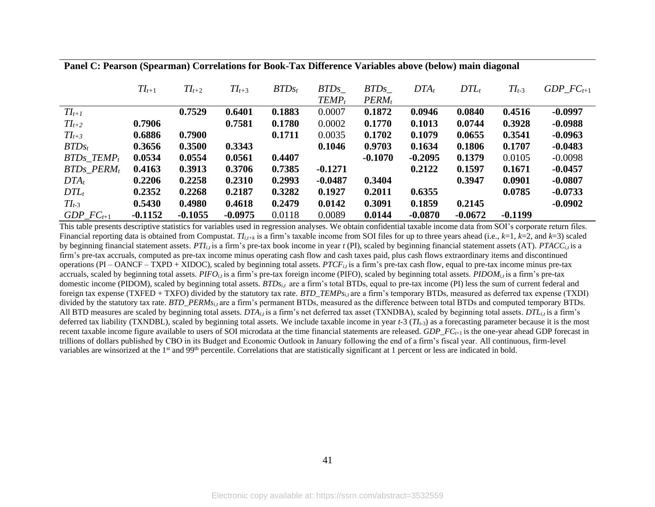**Panel C: Pearson (Spearman) Correlations for Book-Tax Difference Variables above (below) main diagonal**

|                          | $TI_{t+1}$ | $TI_{t+2}$ | $TI_{t+3}$ | $BTDs_t$ | <i>BTDs</i> | <i>BTDs</i> | $DTA_t$   | $DTL_t$   | $TI_{t-3}$ | $GDP\_FC_{t+1}$ |
|--------------------------|------------|------------|------------|----------|-------------|-------------|-----------|-----------|------------|-----------------|
|                          |            |            |            |          | $TEMP_t$    | $PERM_t$    |           |           |            |                 |
| $TI_{t+1}$               |            | 0.7529     | 0.6401     | 0.1883   | 0.0007      | 0.1872      | 0.0946    | 0.0840    | 0.4516     | $-0.0997$       |
| $TI_{t+2}$               | 0.7906     |            | 0.7581     | 0.1780   | 0.0002      | 0.1770      | 0.1013    | 0.0744    | 0.3928     | $-0.0988$       |
| $TI_{t+3}$               | 0.6886     | 0.7900     |            | 0.1711   | 0.0035      | 0.1702      | 0.1079    | 0.0655    | 0.3541     | $-0.0963$       |
| $BTDs_t$                 | 0.3656     | 0.3500     | 0.3343     |          | 0.1046      | 0.9703      | 0.1634    | 0.1806    | 0.1707     | $-0.0483$       |
| $BTDs$ TEMP <sub>t</sub> | 0.0534     | 0.0554     | 0.0561     | 0.4407   |             | $-0.1070$   | $-0.2095$ | 0.1379    | 0.0105     | $-0.0098$       |
| $BTDs\_PERM_t$           | 0.4163     | 0.3913     | 0.3706     | 0.7385   | $-0.1271$   |             | 0.2122    | 0.1597    | 0.1671     | $-0.0457$       |
| $DTA_t$                  | 0.2206     | 0.2258     | 0.2310     | 0.2993   | $-0.0487$   | 0.3404      |           | 0.3947    | 0.0901     | $-0.0807$       |
| $DTL_t$                  | 0.2352     | 0.2268     | 0.2187     | 0.3282   | 0.1927      | 0.2011      | 0.6355    |           | 0.0785     | $-0.0733$       |
| $TI_{t-3}$               | 0.5430     | 0.4980     | 0.4618     | 0.2479   | 0.0142      | 0.3091      | 0.1859    | 0.2145    |            | $-0.0902$       |
| $GDP\_FC_{t+1}$          | $-0.1152$  | $-0.1055$  | $-0.0975$  | 0.0118   | 0.0089      | 0.0144      | $-0.0870$ | $-0.0672$ | $-0.1199$  |                 |

This table presents descriptive statistics for variables used in regression analyses. We obtain confidential taxable income data from SOI's corporate return files. Financial reporting data is obtained from Compustat.  $T_{i,t+k}$  is a firm's taxable income from SOI files for up to three years ahead (i.e.,  $k=1$ ,  $k=2$ , and  $k=3$ ) scaled by beginning financial statement assets. PT $I_{i,t}$  is a firm's pre-tax book income in year t (PI), scaled by beginning financial statement assets (AT). PTACC<sub>*it*</sub> is a firm's pre-tax accruals, computed as pre-tax income minus operating cash flow and cash taxes paid, plus cash flows extraordinary items and discontinued operations (PI – OANCF – TXPD + XIDOC), scaled by beginning total assets. *PTCFi,t* is a firm's pre-tax cash flow, equal to pre-tax income minus pre-tax accruals, scaled by beginning total assets. *PIFO<sub>i,t</sub>* is a firm's pre-tax foreign income (PIFO), scaled by beginning total assets. *PIDOM<sub>i,t</sub>* is a firm's pre-tax domestic income (PIDOM), scaled by beginning total assets. *BTDsi,t* are a firm's total BTDs, equal to pre-tax income (PI) less the sum of current federal and foreign tax expense (TXFED + TXFO) divided by the statutory tax rate. *BTD\_TEMPsi,t* are a firm's temporary BTDs, measured as deferred tax expense (TXDI) divided by the statutory tax rate. *BTD\_PERMs<sub>it</sub>* are a firm's permanent BTDs, measured as the difference between total BTDs and computed temporary BTDs. All BTD measures are scaled by beginning total assets. *DTAi,t* is a firm's net deferred tax asset (TXNDBA), scaled by beginning total assets. *DTLi,t* is a firm's deferred tax liability (TXNDBL), scaled by beginning total assets. We include taxable income in year *t-*3 (*TIt-*3) as a forecasting parameter because it is the most recent taxable income figure available to users of SOI microdata at the time financial statements are released. *GDP\_FCt*+1 is the one-year ahead GDP forecast in trillions of dollars published by CBO in its Budget and Economic Outlook in January following the end of a firm's fiscal year. All continuous, firm-level variables are winsorized at the  $1<sup>st</sup>$  and  $99<sup>th</sup>$  percentile. Correlations that are statistically significant at 1 percent or less are indicated in bold.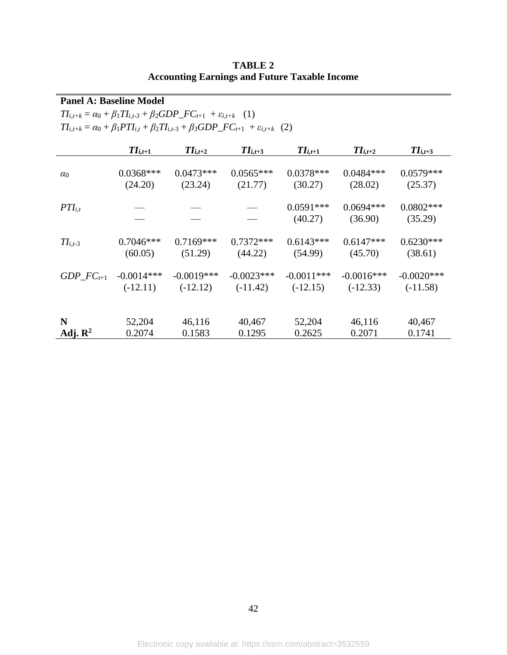| $TI_{i,t+k} = \alpha_0 + \beta_1 TI_{i,t-3} + \beta_2 GDP\_FC_{t+1} + \varepsilon_{i,t+k}$ (1) |              |                                                                                                                    |              |                        |                        |                        |  |  |  |  |
|------------------------------------------------------------------------------------------------|--------------|--------------------------------------------------------------------------------------------------------------------|--------------|------------------------|------------------------|------------------------|--|--|--|--|
|                                                                                                |              | $TI_{i,t+k} = \alpha_0 + \beta_1 PTI_{i,t} + \beta_2 TI_{i,t-3} + \beta_3 GDP\_FC_{t+1} + \varepsilon_{i,t+k}$ (2) |              |                        |                        |                        |  |  |  |  |
|                                                                                                | $II_{i,t+1}$ | $TI_{i,t+2}$                                                                                                       | $TI_{i,t+3}$ | $TI_{i,t+1}$           | $TI_{i,t+2}$           | $TI_{i,t+3}$           |  |  |  |  |
| $\alpha_0$                                                                                     | $0.0368***$  | $0.0473***$                                                                                                        | $0.0565***$  | $0.0378***$            | $0.0484***$            | $0.0579***$            |  |  |  |  |
|                                                                                                | (24.20)      | (23.24)                                                                                                            | (21.77)      | (30.27)                | (28.02)                | (25.37)                |  |  |  |  |
| $PTI_{i.t}$                                                                                    |              |                                                                                                                    |              | $0.0591***$<br>(40.27) | $0.0694***$<br>(36.90) | $0.0802***$<br>(35.29) |  |  |  |  |
| $TI_{i,t-3}$                                                                                   | $0.7046***$  | $0.7169***$                                                                                                        | $0.7372***$  | $0.6143***$            | $0.6147***$            | $0.6230***$            |  |  |  |  |
|                                                                                                | (60.05)      | (51.29)                                                                                                            | (44.22)      | (54.99)                | (45.70)                | (38.61)                |  |  |  |  |
| GDP $FC_{t+1}$                                                                                 | $-0.0014***$ | $-0.0019***$                                                                                                       | $-0.0023***$ | $-0.0011***$           | $-0.0016***$           | $-0.0020$ ***          |  |  |  |  |
|                                                                                                | $(-12.11)$   | $(-12.12)$                                                                                                         | $(-11.42)$   | $(-12.15)$             | $(-12.33)$             | $(-11.58)$             |  |  |  |  |
| N                                                                                              | 52,204       | 46,116                                                                                                             | 40,467       | 52,204                 | 46,116                 | 40,467                 |  |  |  |  |
| Adj. $\mathbb{R}^2$                                                                            | 0.2074       | 0.1583                                                                                                             | 0.1295       | 0.2625                 | 0.2071                 | 0.1741                 |  |  |  |  |

**TABLE 2 Accounting Earnings and Future Taxable Income**

**Panel A: Baseline Model**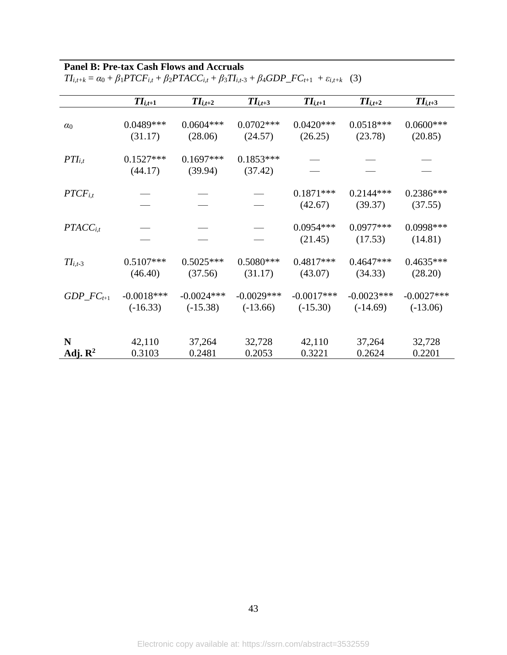# **Panel B: Pre-tax Cash Flows and Accruals**

|                     | $TI_{i,t+1}$           | $TI_{i,t+2}$           | $TI_{i,t+3}$           | $TI_{i,t+1}$           | $TI_{i,t+2}$           | $TI_{i,t+3}$           |
|---------------------|------------------------|------------------------|------------------------|------------------------|------------------------|------------------------|
| $\alpha_0$          | $0.0489***$            | $0.0604***$            | $0.0702***$            | $0.0420***$            | $0.0518***$            | $0.0600***$            |
|                     | (31.17)                | (28.06)                | (24.57)                | (26.25)                | (23.78)                | (20.85)                |
| $PTI_{i,t}$         | $0.1527***$<br>(44.17) | $0.1697***$<br>(39.94) | $0.1853***$<br>(37.42) |                        |                        |                        |
| $PTCF_{i,t}$        |                        |                        |                        | $0.1871***$<br>(42.67) | $0.2144***$<br>(39.37) | 0.2386***<br>(37.55)   |
| $PTACC_{i,t}$       |                        |                        |                        | $0.0954***$<br>(21.45) | $0.0977***$<br>(17.53) | $0.0998***$<br>(14.81) |
| $TI_{i,t-3}$        | $0.5107***$            | $0.5025***$            | $0.5080***$            | $0.4817***$            | $0.4647***$            | $0.4635***$            |
|                     | (46.40)                | (37.56)                | (31.17)                | (43.07)                | (34.33)                | (28.20)                |
| $GDP\_FC_{t+1}$     | $-0.0018***$           | $-0.0024***$           | $-0.0029***$           | $-0.0017***$           | $-0.0023***$           | $-0.0027$ ***          |
|                     | $(-16.33)$             | $(-15.38)$             | $(-13.66)$             | $(-15.30)$             | $(-14.69)$             | $(-13.06)$             |
| N                   | 42,110                 | 37,264                 | 32,728                 | 42,110                 | 37,264                 | 32,728                 |
| Adj. $\mathbb{R}^2$ | 0.3103                 | 0.2481                 | 0.2053                 | 0.3221                 | 0.2624                 | 0.2201                 |

 $TI_{i,t+k} = \alpha_0 + \beta_1 P T C F_{i,t} + \beta_2 P T A C C_{i,t} + \beta_3 T I_{i,t-3} + \beta_4 G D P\_ F C_{t+1} + \varepsilon_{i,t+k}$  (3)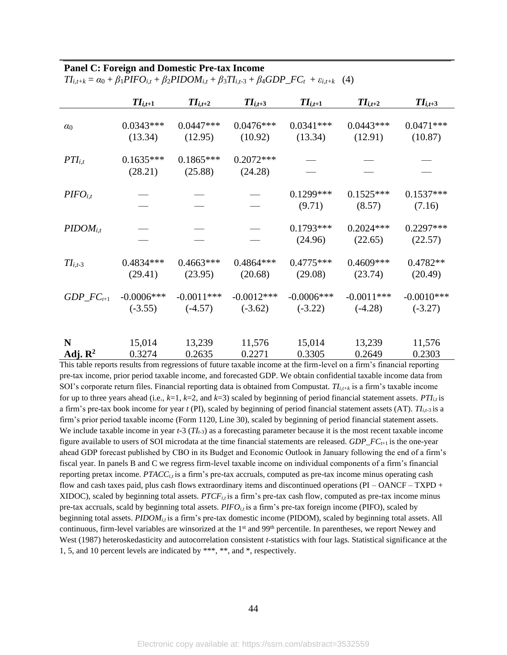#### **Panel C: Foreign and Domestic Pre-tax Income**

|                     | $II_{i,t+1}$<br>$TI_{i,t+2}$ |                        | $TI_{i,t+3}$           | $TI_{i,t+1}$           | $TI_{i,t+2}$           | $TI_{i,t+3}$           |
|---------------------|------------------------------|------------------------|------------------------|------------------------|------------------------|------------------------|
| $\alpha_0$          | $0.0343***$                  | $0.0447***$            | $0.0476***$            | $0.0341***$            | $0.0443***$            | $0.0471***$            |
|                     | (13.34)                      | (12.95)                | (10.92)                | (13.34)                | (12.91)                | (10.87)                |
| $PTI_{i,t}$         | $0.1635***$<br>(28.21)       | $0.1865***$<br>(25.88) | $0.2072***$<br>(24.28) |                        |                        |                        |
| $PIFO_{i,t}$        |                              |                        |                        | $0.1299***$<br>(9.71)  | $0.1525***$<br>(8.57)  | $0.1537***$<br>(7.16)  |
| $PIDOM_{i,t}$       |                              |                        |                        | $0.1793***$<br>(24.96) | $0.2024***$<br>(22.65) | $0.2297***$<br>(22.57) |
| $TI_{i,t-3}$        | $0.4834***$                  | $0.4663***$            | $0.4864***$            | $0.4775***$            | $0.4609***$            | $0.4782**$             |
|                     | (29.41)                      | (23.95)                | (20.68)                | (29.08)                | (23.74)                | (20.49)                |
| $GDP\_FC_{t+1}$     | $-0.0006$ ***                | $-0.0011***$           | $-0.0012***$           | $-0.0006$ ***          | $-0.0011***$           | $-0.0010***$           |
|                     | $(-3.55)$                    | $(-4.57)$              | $(-3.62)$              | $(-3.22)$              | $(-4.28)$              | $(-3.27)$              |
| N                   | 15,014                       | 13,239                 | 11,576                 | 15,014                 | 13,239                 | 11,576                 |
| Adj. $\mathbb{R}^2$ | 0.3274                       | 0.2635                 | 0.2271                 | 0.3305                 | 0.2649                 | 0.2303                 |

 $TI_{i,t+k} = \alpha_0 + \beta_1 PIFO_{i,t} + \beta_2 PIDOM_{i,t} + \beta_3 TI_{i,t-3} + \beta_4 GDP\_FC_t + \varepsilon_{i,t+k}$  (4)

This table reports results from regressions of future taxable income at the firm-level on a firm's financial reporting pre-tax income, prior period taxable income, and forecasted GDP. We obtain confidential taxable income data from SOI's corporate return files. Financial reporting data is obtained from Compustat*. TIi,t+k* is a firm's taxable income for up to three years ahead (i.e.,  $k=1$ ,  $k=2$ , and  $k=3$ ) scaled by beginning of period financial statement assets.  $PTI_{i,t}$  is a firm's pre-tax book income for year *t* (PI), scaled by beginning of period financial statement assets (AT).  $T_{i,t-3}$  is a firm's prior period taxable income (Form 1120, Line 30), scaled by beginning of period financial statement assets. We include taxable income in year  $t-3$  ( $T_{t-3}$ ) as a forecasting parameter because it is the most recent taxable income figure available to users of SOI microdata at the time financial statements are released. *GDP\_FCt*+1 is the one-year ahead GDP forecast published by CBO in its Budget and Economic Outlook in January following the end of a firm's fiscal year. In panels B and C we regress firm-level taxable income on individual components of a firm's financial reporting pretax income.  $PTACC_{i,t}$  is a firm's pre-tax accruals, computed as pre-tax income minus operating cash flow and cash taxes paid, plus cash flows extraordinary items and discontinued operations (PI – OANCF – TXPD + XIDOC), scaled by beginning total assets. *PTCFi,t* is a firm's pre-tax cash flow, computed as pre-tax income minus pre-tax accruals, scald by beginning total assets. *PIFO<sub>it</sub>* is a firm's pre-tax foreign income (PIFO), scaled by beginning total assets. *PIDOM<sub>i,t</sub>* is a firm's pre-tax domestic income (PIDOM), scaled by beginning total assets. All continuous, firm-level variables are winsorized at the  $1<sup>st</sup>$  and  $99<sup>th</sup>$  percentile. In parentheses, we report Newey and West (1987) heteroskedasticity and autocorrelation consistent *t*-statistics with four lags. Statistical significance at the 1, 5, and 10 percent levels are indicated by \*\*\*, \*\*, and \*, respectively.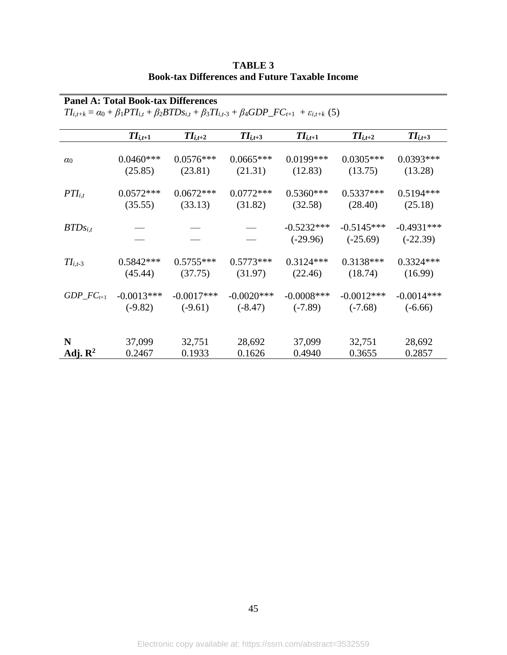|                     | $TI_{i,t+k} = \alpha_0 + \beta_1 PTI_{i,t} + \beta_2 BTDs_{i,t} + \beta_3 TI_{i,t-3} + \beta_4 GDP\_FC_{t+1} + \varepsilon_{i,t+k}$ (5) |              |              |                            |                            |                            |  |  |  |  |  |
|---------------------|-----------------------------------------------------------------------------------------------------------------------------------------|--------------|--------------|----------------------------|----------------------------|----------------------------|--|--|--|--|--|
|                     | $TI_{i,t+1}$                                                                                                                            | $TI_{i,t+2}$ | $TI_{i,t+3}$ | $TI_{i,t+1}$               | $TI_{i,t+2}$               | $TI_{i,t+3}$               |  |  |  |  |  |
| $\alpha_0$          | $0.0460***$                                                                                                                             | $0.0576***$  | $0.0665***$  | $0.0199***$                | $0.0305***$                | $0.0393***$                |  |  |  |  |  |
|                     | (25.85)                                                                                                                                 | (23.81)      | (21.31)      | (12.83)                    | (13.75)                    | (13.28)                    |  |  |  |  |  |
| $PTI_{i,t}$         | $0.0572***$                                                                                                                             | $0.0672***$  | $0.0772***$  | $0.5360***$                | $0.5337***$                | $0.5194***$                |  |  |  |  |  |
|                     | (35.55)                                                                                                                                 | (33.13)      | (31.82)      | (32.58)                    | (28.40)                    | (25.18)                    |  |  |  |  |  |
| $BTDs_{i,t}$        |                                                                                                                                         |              |              | $-0.5232***$<br>$(-29.96)$ | $-0.5145***$<br>$(-25.69)$ | $-0.4931***$<br>$(-22.39)$ |  |  |  |  |  |
| $TI_{i,t-3}$        | $0.5842***$                                                                                                                             | $0.5755***$  | $0.5773***$  | $0.3124***$                | $0.3138***$                | $0.3324***$                |  |  |  |  |  |
|                     | (45.44)                                                                                                                                 | (37.75)      | (31.97)      | (22.46)                    | (18.74)                    | (16.99)                    |  |  |  |  |  |
| $GDP\_FC_{t+1}$     | $-0.0013***$                                                                                                                            | $-0.0017***$ | $-0.0020***$ | $-0.0008***$               | $-0.0012***$               | $-0.0014***$               |  |  |  |  |  |
|                     | $(-9.82)$                                                                                                                               | $(-9.61)$    | $(-8.47)$    | $(-7.89)$                  | $(-7.68)$                  | $(-6.66)$                  |  |  |  |  |  |
| N                   | 37,099                                                                                                                                  | 32,751       | 28,692       | 37,099                     | 32,751                     | 28,692                     |  |  |  |  |  |
| Adj. $\mathbb{R}^2$ | 0.2467                                                                                                                                  | 0.1933       | 0.1626       | 0.4940                     | 0.3655                     | 0.2857                     |  |  |  |  |  |

**TABLE 3 Book-tax Differences and Future Taxable Income**

**Panel A: Total Book-tax Differences**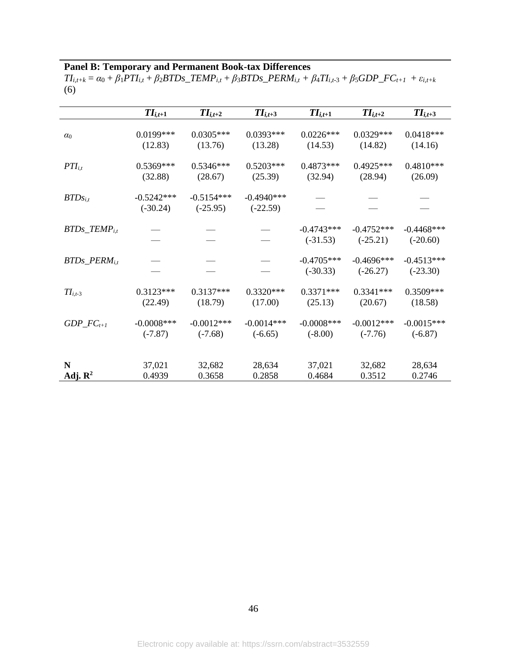## **Panel B: Temporary and Permanent Book-tax Differences**

 $TI_{i,t+k} = \alpha_0 + \beta_1 PTI_{i,t} + \beta_2 BTDs\_TEMP_{i,t} + \beta_3 BTDs\_PERM_{i,t} + \beta_4 TI_{i,t-3} + \beta_5 GDP\_FC_{t+1} + \varepsilon_{i,t+k}$ (6)

|                                                                            | $TI_{i,t+1}$               | $II_{i,t+2}$               | $TI_{i,t+3}$               | $II_{i,t+1}$               | $TI_{i,t+2}$               | $TI_{i,t+3}$                |
|----------------------------------------------------------------------------|----------------------------|----------------------------|----------------------------|----------------------------|----------------------------|-----------------------------|
| $\alpha_0$                                                                 | $0.0199***$                | $0.0305***$                | $0.0393***$                | $0.0226***$                | $0.0329***$                | $0.0418***$                 |
|                                                                            | (12.83)                    | (13.76)                    | (13.28)                    | (14.53)                    | (14.82)                    | (14.16)                     |
| $PTI_{i,t}$                                                                | $0.5369***$                | $0.5346***$                | $0.5203***$                | $0.4873***$                | $0.4925***$                | $0.4810***$                 |
|                                                                            | (32.88)                    | (28.67)                    | (25.39)                    | (32.94)                    | (28.94)                    | (26.09)                     |
| $BTDs_{i,t}$                                                               | $-0.5242***$<br>$(-30.24)$ | $-0.5154***$<br>$(-25.95)$ | $-0.4940***$<br>$(-22.59)$ |                            |                            |                             |
| $BTDs$ <sub><math>.F</math></sub> $F$ $F$ $AP$ <sub><math>i,t</math></sub> |                            |                            |                            | $-0.4743***$<br>$(-31.53)$ | $-0.4752***$<br>$(-25.21)$ | $-0.4468$ ***<br>$(-20.60)$ |
| $BTDs\_PERM_{i,t}$                                                         |                            |                            |                            | $-0.4705***$<br>$(-30.33)$ | $-0.4696***$<br>$(-26.27)$ | $-0.4513***$<br>$(-23.30)$  |
| $TI_{i,t-3}$                                                               | $0.3123***$                | $0.3137***$                | $0.3320***$                | $0.3371***$                | $0.3341***$                | 0.3509***                   |
|                                                                            | (22.49)                    | (18.79)                    | (17.00)                    | (25.13)                    | (20.67)                    | (18.58)                     |
| $GDP\_FC_{t+1}$                                                            | $-0.0008$ ***              | $-0.0012***$               | $-0.0014***$               | $-0.0008$ ***              | $-0.0012***$               | $-0.0015***$                |
|                                                                            | $(-7.87)$                  | $(-7.68)$                  | $(-6.65)$                  | $(-8.00)$                  | $(-7.76)$                  | $(-6.87)$                   |
| N                                                                          | 37,021                     | 32,682                     | 28,634                     | 37,021                     | 32,682                     | 28,634                      |
| Adj. $\mathbb{R}^2$                                                        | 0.4939                     | 0.3658                     | 0.2858                     | 0.4684                     | 0.3512                     | 0.2746                      |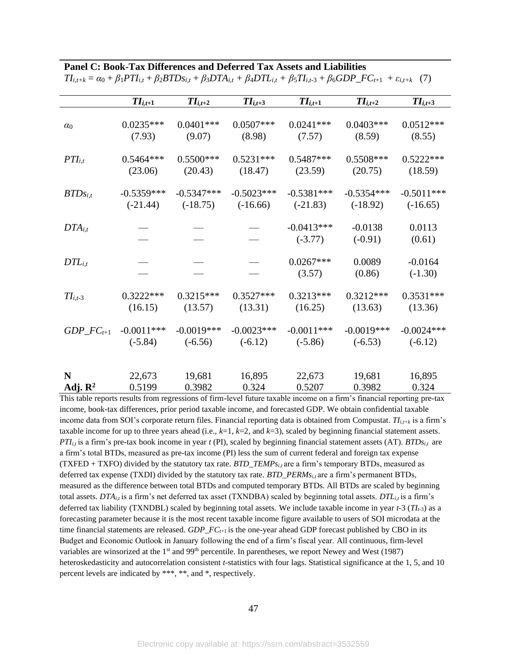|  |  | Panel C: Book-Tax Differences and Deferred Tax Assets and Liabilities |  |
|--|--|-----------------------------------------------------------------------|--|
|  |  |                                                                       |  |

|                     | $TI_{i,t+1}$ | $TI_{i,t+2}$ | $TI_{i,t+3}$ | $TI_{i,t+1}$              | $TI_{i,t+2}$           | $TI_{i,t+3}$           |  |
|---------------------|--------------|--------------|--------------|---------------------------|------------------------|------------------------|--|
| $\alpha_0$          | $0.0235***$  | $0.0401***$  | $0.0507***$  | $0.0241***$               | $0.0403***$            | $0.0512***$            |  |
|                     | (7.93)       | (9.07)       | (8.98)       | (7.57)                    | (8.59)                 | (8.55)                 |  |
| $PTI_{i,t}$         | $0.5464***$  | $0.5500***$  | $0.5231***$  | $0.5487***$               | $0.5508***$            | $0.5222***$            |  |
|                     | (23.06)      | (20.43)      | (18.47)      | (23.59)                   | (20.75)                | (18.59)                |  |
| $BTDs_{i,t}$        | $-0.5359***$ | $-0.5347***$ | $-0.5023***$ | $-0.5381***$              | $-0.5354***$           | $-0.5011***$           |  |
|                     | $(-21.44)$   | $(-18.75)$   | $(-16.66)$   | $(-21.83)$                | $(-18.92)$             | $(-16.65)$             |  |
| $DTA_{i,t}$         |              |              |              | $-0.0413***$<br>$(-3.77)$ | $-0.0138$<br>$(-0.91)$ | 0.0113<br>(0.61)       |  |
| $DTL_{i,t}$         |              |              |              | $0.0267***$<br>(3.57)     | 0.0089<br>(0.86)       | $-0.0164$<br>$(-1.30)$ |  |
| $TI_{i,t-3}$        | $0.3222***$  | $0.3215***$  | $0.3527***$  | $0.3213***$               | $0.3212***$            | $0.3531***$            |  |
|                     | (16.15)      | (13.57)      | (13.31)      | (16.25)                   | (13.63)                | (13.36)                |  |
| $GDP\_FC_{t+1}$     | $-0.0011***$ | $-0.0019***$ | $-0.0023***$ | $-0.0011***$              | $-0.0019***$           | $-0.0024***$           |  |
|                     | $(-5.84)$    | $(-6.56)$    | $(-6.12)$    | $(-5.86)$                 | $(-6.53)$              | $(-6.12)$              |  |
| N                   | 22,673       | 19,681       | 16,895       | 22,673                    | 19,681                 | 16,895                 |  |
| Adj. $\mathbb{R}^2$ | 0.5199       | 0.3982       | 0.324        | 0.5207                    | 0.3982                 | 0.324                  |  |

 $TI_{i,t+k} = \alpha_0 + \beta_1 PTI_{i,t} + \beta_2 BTDs_{i,t} + \beta_3 DTA_{i,t} + \beta_4 DTL_{i,t} + \beta_5 TI_{i,t-3} + \beta_6 GDP\_FC_{t+1} + \varepsilon_{i,t+k}$  (7)

This table reports results from regressions of firm-level future taxable income on a firm's financial reporting pre-tax income, book-tax differences, prior period taxable income, and forecasted GDP. We obtain confidential taxable income data from SOI's corporate return files. Financial reporting data is obtained from Compustat. *TIi,t+k* is a firm's taxable income for up to three years ahead (i.e., *k*=1, *k*=2, and *k*=3), scaled by beginning financial statement assets. *PTIi,t* is a firm's pre-tax book income in year *t* (PI), scaled by beginning financial statement assets (AT). *BTDsi,t* are a firm's total BTDs, measured as pre-tax income (PI) less the sum of current federal and foreign tax expense (TXFED + TXFO) divided by the statutory tax rate. *BTD\_TEMPsi,t* are a firm's temporary BTDs, measured as deferred tax expense (TXDI) divided by the statutory tax rate. *BTD\_PERMs*<sub>*i,t*</sub> are a firm's permanent BTDs, measured as the difference between total BTDs and computed temporary BTDs. All BTDs are scaled by beginning total assets. *DTAi,t* is a firm's net deferred tax asset (TXNDBA) scaled by beginning total assets. *DTLi,t* is a firm's deferred tax liability (TXNDBL) scaled by beginning total assets. We include taxable income in year *t-*3 (*TIt-*3) as a forecasting parameter because it is the most recent taxable income figure available to users of SOI microdata at the time financial statements are released. *GDP\_FCt*+1 is the one-year ahead GDP forecast published by CBO in its Budget and Economic Outlook in January following the end of a firm's fiscal year. All continuous, firm-level variables are winsorized at the  $1<sup>st</sup>$  and  $99<sup>th</sup>$  percentile. In parentheses, we report Newey and West (1987) heteroskedasticity and autocorrelation consistent *t*-statistics with four lags. Statistical significance at the 1, 5, and 10 percent levels are indicated by \*\*\*, \*\*, and \*, respectively.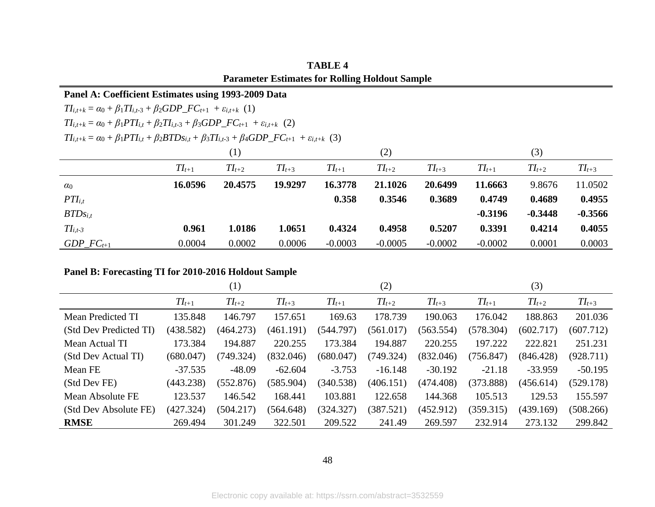|                                                                                                                    | Panel A: Coefficient Estimates using 1993-2009 Data                                                                                     |            |            |            |            |            |            |            |            |  |
|--------------------------------------------------------------------------------------------------------------------|-----------------------------------------------------------------------------------------------------------------------------------------|------------|------------|------------|------------|------------|------------|------------|------------|--|
| $TI_{i,t+k} = \alpha_0 + \beta_1 TI_{i,t-3} + \beta_2 GDP\_FC_{t+1} + \varepsilon_{i,t+k}$ (1)                     |                                                                                                                                         |            |            |            |            |            |            |            |            |  |
| $TI_{i,t+k} = \alpha_0 + \beta_1 PTI_{i,t} + \beta_2 TI_{i,t-3} + \beta_3 GDP\_FC_{t+1} + \varepsilon_{i,t+k}$ (2) |                                                                                                                                         |            |            |            |            |            |            |            |            |  |
|                                                                                                                    | $TI_{i,t+k} = \alpha_0 + \beta_1 PTI_{i,t} + \beta_2 BTDs_{i,t} + \beta_3 TI_{i,t-3} + \beta_4 GDP\_FC_{t+1} + \varepsilon_{i,t+k}$ (3) |            |            |            |            |            |            |            |            |  |
|                                                                                                                    | (1)                                                                                                                                     |            |            | (2)        |            |            | (3)        |            |            |  |
|                                                                                                                    | $TI_{t+1}$                                                                                                                              | $TI_{t+2}$ | $TI_{t+3}$ | $TI_{t+1}$ | $TI_{t+2}$ | $TI_{t+3}$ | $TI_{t+1}$ | $TI_{t+2}$ | $TI_{t+3}$ |  |
| $\alpha_0$                                                                                                         | 16.0596                                                                                                                                 | 20.4575    | 19.9297    | 16.3778    | 21.1026    | 20.6499    | 11.6663    | 9.8676     | 11.0502    |  |
| $PTI_{i,t}$                                                                                                        |                                                                                                                                         |            |            | 0.358      | 0.3546     | 0.3689     | 0.4749     | 0.4689     | 0.4955     |  |
| $BTDs_{i,t}$                                                                                                       |                                                                                                                                         |            |            |            |            |            | $-0.3196$  | $-0.3448$  | $-0.3566$  |  |
| $TI_{i,t-3}$                                                                                                       | 0.961                                                                                                                                   | 1.0186     | 1.0651     | 0.4324     | 0.4958     | 0.5207     | 0.3391     | 0.4214     | 0.4055     |  |
| GDP $FC_{t+1}$                                                                                                     | 0.0004                                                                                                                                  | 0.0002     | 0.0006     | $-0.0003$  | $-0.0005$  | $-0.0002$  | $-0.0002$  | 0.0001     | 0.0003     |  |

**TABLE 4 Parameter Estimates for Rolling Holdout Sample**

### **Panel B: Forecasting TI for 2010-2016 Holdout Sample**

|                        | $\left( 1\right)$ |            |            | (2)        |            |            | (3)        |            |            |
|------------------------|-------------------|------------|------------|------------|------------|------------|------------|------------|------------|
|                        | $TI_{t+1}$        | $TI_{t+2}$ | $TI_{t+3}$ | $TI_{t+1}$ | $TI_{t+2}$ | $TI_{t+3}$ | $TI_{t+1}$ | $TI_{t+2}$ | $TI_{t+3}$ |
| Mean Predicted TI      | 135.848           | 146.797    | 157.651    | 169.63     | 178.739    | 190.063    | 176.042    | 188.863    | 201.036    |
| (Std Dev Predicted TI) | (438.582)         | (464.273)  | (461.191)  | (544.797)  | (561.017)  | (563.554)  | (578.304)  | (602.717)  | (607.712)  |
| Mean Actual TI         | 173.384           | 194.887    | 220.255    | 173.384    | 194.887    | 220.255    | 197.222    | 222.821    | 251.231    |
| (Std Dev Actual TI)    | (680.047)         | (749.324)  | (832.046)  | (680.047)  | (749.324)  | (832.046)  | (756.847)  | (846.428)  | (928.711)  |
| Mean FE                | $-37.535$         | $-48.09$   | $-62.604$  | $-3.753$   | $-16.148$  | $-30.192$  | $-21.18$   | $-33.959$  | $-50.195$  |
| (Std Dev FE)           | (443.238)         | (552.876)  | (585.904)  | (340.538)  | (406.151)  | (474.408)  | (373.888)  | (456.614)  | (529.178)  |
| Mean Absolute FE       | 123.537           | 146.542    | 168.441    | 103.881    | 122.658    | 144.368    | 105.513    | 129.53     | 155.597    |
| (Std Dev Absolute FE)  | (427.324)         | (504.217)  | (564.648)  | (324.327)  | (387.521)  | (452.912)  | (359.315)  | (439.169)  | (508.266)  |
| <b>RMSE</b>            | 269.494           | 301.249    | 322.501    | 209.522    | 241.49     | 269.597    | 232.914    | 273.132    | 299.842    |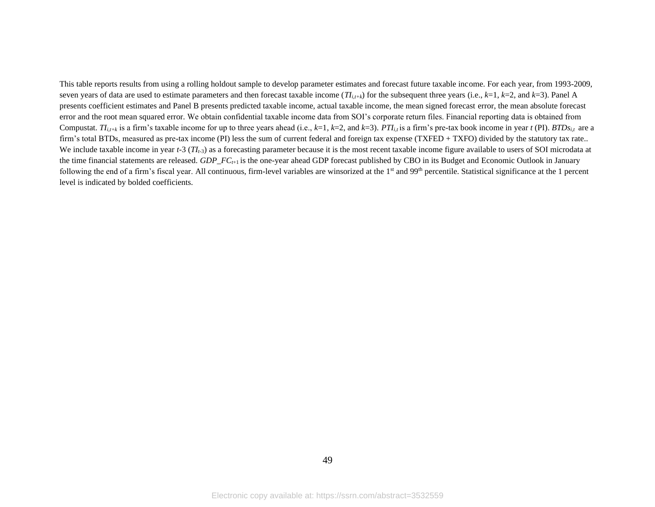This table reports results from using a rolling holdout sample to develop parameter estimates and forecast future taxable income. For each year, from 1993-2009, seven years of data are used to estimate parameters and then forecast taxable income  $(TI_{i,t+k})$  for the subsequent three years (i.e.,  $k=1$ ,  $k=2$ , and  $k=3$ ). Panel A presents coefficient estimates and Panel B presents predicted taxable income, actual taxable income, the mean signed forecast error, the mean absolute forecast error and the root mean squared error. We obtain confidential taxable income data from SOI's corporate return files. Financial reporting data is obtained from Compustat.  $T_{i,t+k}$  is a firm's taxable income for up to three years ahead (i.e., k=1, k=2, and k=3). PTI<sub>it</sub> is a firm's pre-tax book income in year t (PI). BTDs<sub>it</sub> are a firm's total BTDs, measured as pre-tax income (PI) less the sum of current federal and foreign tax expense (TXFED + TXFO) divided by the statutory tax rate.. We include taxable income in year  $t-3$  ( $T_l$ <sub>t-3</sub>) as a forecasting parameter because it is the most recent taxable income figure available to users of SOI microdata at the time financial statements are released. *GDP\_FCt*+1 is the one-year ahead GDP forecast published by CBO in its Budget and Economic Outlook in January following the end of a firm's fiscal year. All continuous, firm-level variables are winsorized at the  $1<sup>st</sup>$  and 99<sup>th</sup> percentile. Statistical significance at the 1 percent level is indicated by bolded coefficients.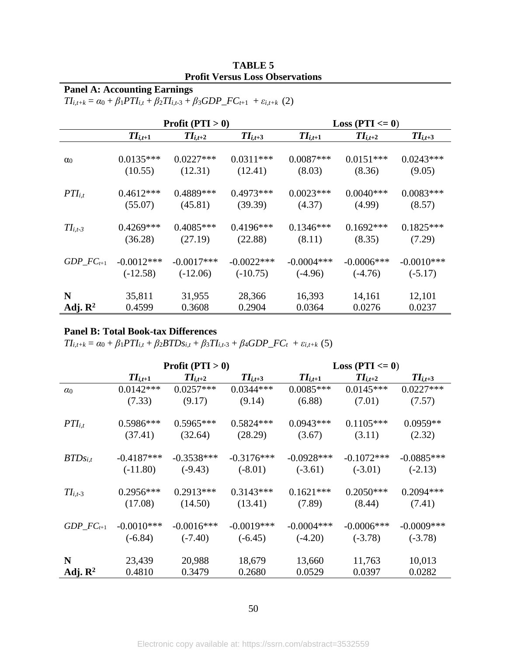| <b>TABLE 5</b>                         |
|----------------------------------------|
| <b>Profit Versus Loss Observations</b> |

# **Panel A: Accounting Earnings**

 $TI_{i,t+k} = \alpha_0 + \beta_1 PTI_{i,t} + \beta_2 TI_{i,t-3} + \beta_3 GDP\_FC_{t+1} + \varepsilon_{i,t+k}$  (2)

|                     | Profit $(PTI > 0)$ |              |              | Loss (PTI $\leq$ 0) |               |              |  |
|---------------------|--------------------|--------------|--------------|---------------------|---------------|--------------|--|
|                     | $TI_{i,t+1}$       | $TI_{i,t+2}$ | $TI_{i,t+3}$ | $TI_{i,t+1}$        | $TI_{i,t+2}$  | $TI_{i,t+3}$ |  |
| $\alpha_0$          | $0.0135***$        | $0.0227***$  | $0.0311***$  | $0.0087***$         | $0.0151***$   | $0.0243***$  |  |
|                     | (10.55)            | (12.31)      | (12.41)      | (8.03)              | (8.36)        | (9.05)       |  |
| $PTI_{i,t}$         | $0.4612***$        | 0.4889***    | $0.4973***$  | $0.0023***$         | $0.0040***$   | $0.0083***$  |  |
|                     | (55.07)            | (45.81)      | (39.39)      | (4.37)              | (4.99)        | (8.57)       |  |
| $TI_{i,t-3}$        | $0.4269***$        | $0.4085***$  | $0.4196***$  | $0.1346***$         | $0.1692***$   | $0.1825***$  |  |
|                     | (36.28)            | (27.19)      | (22.88)      | (8.11)              | (8.35)        | (7.29)       |  |
| $GDP\_FC_{t+1}$     | $-0.0012***$       | $-0.0017***$ | $-0.0022***$ | $-0.0004***$        | $-0.0006$ *** | $-0.0010***$ |  |
|                     | $(-12.58)$         | $(-12.06)$   | $(-10.75)$   | $(-4.96)$           | $(-4.76)$     | $(-5.17)$    |  |
| N                   | 35,811             | 31,955       | 28,366       | 16,393              | 14,161        | 12,101       |  |
| Adj. $\mathbb{R}^2$ | 0.4599             | 0.3608       | 0.2904       | 0.0364              | 0.0276        | 0.0237       |  |

### **Panel B: Total Book-tax Differences**

 $TI_{i,t+k} = \alpha_0 + \beta_1 PTI_{i,t} + \beta_2 BTDs_{i,t} + \beta_3 TI_{i,t-3} + \beta_4 GDP\_FC_t + \varepsilon_{i,t+k}$  (5)

|                     | Profit $(PTI > 0)$ |              |              | Loss ( $PTI \le 0$ ) |               |               |  |
|---------------------|--------------------|--------------|--------------|----------------------|---------------|---------------|--|
|                     | $TI_{i,t+1}$       | $TI_{i,t+2}$ | $TI_{i,t+3}$ | $TI_{i,t+1}$         | $TI_{i,t+2}$  | $TI_{i,t+3}$  |  |
| $\alpha_0$          | $0.0142***$        | $0.0257***$  | $0.0344***$  | $0.0085***$          | $0.0145***$   | $0.0227***$   |  |
|                     | (7.33)             | (9.17)       | (9.14)       | (6.88)               | (7.01)        | (7.57)        |  |
| $PTI_{i,t}$         | 0.5986***          | $0.5965***$  | $0.5824***$  | $0.0943***$          | $0.1105***$   | $0.0959**$    |  |
|                     | (37.41)            | (32.64)      | (28.29)      | (3.67)               | (3.11)        | (2.32)        |  |
| $BTDs_{i,t}$        | $-0.4187***$       | $-0.3538***$ | $-0.3176***$ | $-0.0928***$         | $-0.1072***$  | $-0.0885***$  |  |
|                     | $(-11.80)$         | $(-9.43)$    | $(-8.01)$    | $(-3.61)$            | $(-3.01)$     | $(-2.13)$     |  |
| $TI_{i,t-3}$        | $0.2956***$        | $0.2913***$  | $0.3143***$  | $0.1621***$          | $0.2050***$   | $0.2094***$   |  |
|                     | (17.08)            | (14.50)      | (13.41)      | (7.89)               | (8.44)        | (7.41)        |  |
| $GDP\_FC_{t+1}$     | $-0.0010***$       | $-0.0016***$ | $-0.0019***$ | $-0.0004***$         | $-0.0006$ *** | $-0.0009$ *** |  |
|                     | $(-6.84)$          | $(-7.40)$    | $(-6.45)$    | $(-4.20)$            | $(-3.78)$     | $(-3.78)$     |  |
| N                   | 23,439             | 20,988       | 18,679       | 13,660               | 11,763        | 10,013        |  |
| Adj. $\mathbb{R}^2$ | 0.4810             | 0.3479       | 0.2680       | 0.0529               | 0.0397        | 0.0282        |  |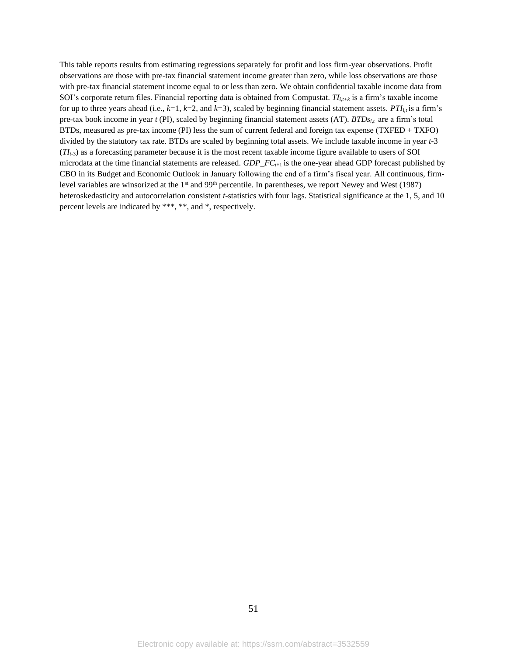This table reports results from estimating regressions separately for profit and loss firm-year observations. Profit observations are those with pre-tax financial statement income greater than zero, while loss observations are those with pre-tax financial statement income equal to or less than zero. We obtain confidential taxable income data from SOI's corporate return files. Financial reporting data is obtained from Compustat. *TIi,t+k* is a firm's taxable income for up to three years ahead (i.e.,  $k=1$ ,  $k=2$ , and  $k=3$ ), scaled by beginning financial statement assets. *PTI*<sub>*i* $t$ </sub> is a firm's pre-tax book income in year  $t$  (PI), scaled by beginning financial statement assets (AT).  $BTDs_{i,t}$  are a firm's total BTDs, measured as pre-tax income (PI) less the sum of current federal and foreign tax expense (TXFED + TXFO) divided by the statutory tax rate. BTDs are scaled by beginning total assets. We include taxable income in year *t-*3  $(T_{L_3})$  as a forecasting parameter because it is the most recent taxable income figure available to users of SOI microdata at the time financial statements are released. *GDP\_FCt*+1 is the one-year ahead GDP forecast published by CBO in its Budget and Economic Outlook in January following the end of a firm's fiscal year. All continuous, firmlevel variables are winsorized at the 1<sup>st</sup> and 99<sup>th</sup> percentile. In parentheses, we report Newey and West (1987) heteroskedasticity and autocorrelation consistent *t*-statistics with four lags. Statistical significance at the 1, 5, and 10 percent levels are indicated by \*\*\*, \*\*, and \*, respectively.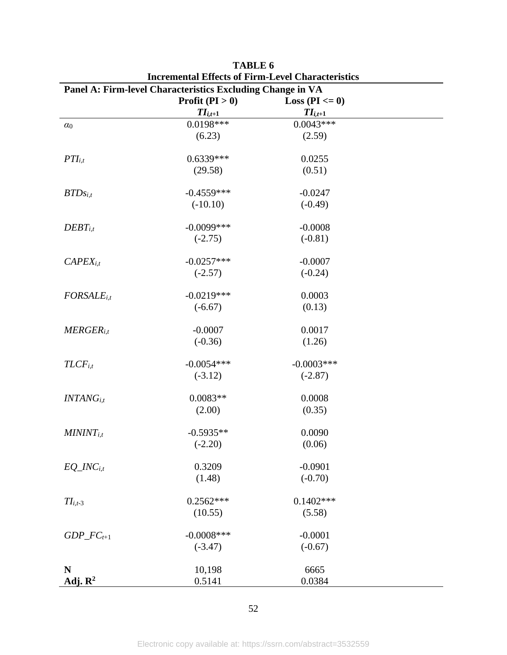| Panel A: Firm-level Characteristics Excluding Change in VA |                   |                     |  |  |  |
|------------------------------------------------------------|-------------------|---------------------|--|--|--|
|                                                            | Profit $(PI > 0)$ | Loss ( $PI \le 0$ ) |  |  |  |
|                                                            | $TI_{i,t+1}$      | $TI_{i,t+1}$        |  |  |  |
| $\alpha_0$                                                 | 0.0198***         | $0.0043***$         |  |  |  |
|                                                            | (6.23)            | (2.59)              |  |  |  |
| $PTI_{i,t}$                                                | $0.6339***$       | 0.0255              |  |  |  |
|                                                            | (29.58)           | (0.51)              |  |  |  |
| $BTDs_{i,t}$                                               | $-0.4559***$      | $-0.0247$           |  |  |  |
|                                                            | $(-10.10)$        | $(-0.49)$           |  |  |  |
| $DEBT_{i,t}$                                               | $-0.0099$ ***     | $-0.0008$           |  |  |  |
|                                                            | $(-2.75)$         | $(-0.81)$           |  |  |  |
| $CAPEX_{i,t}$                                              | $-0.0257***$      | $-0.0007$           |  |  |  |
|                                                            | $(-2.57)$         | $(-0.24)$           |  |  |  |
| $FORSALE$ <sub>i,t</sub>                                   | $-0.0219***$      | 0.0003              |  |  |  |
|                                                            | $(-6.67)$         | (0.13)              |  |  |  |
| $MERGER_{i,t}$                                             | $-0.0007$         | 0.0017              |  |  |  |
|                                                            | $(-0.36)$         | (1.26)              |  |  |  |
| $TLCF$ <sub>i,t</sub>                                      | $-0.0054***$      | $-0.0003***$        |  |  |  |
|                                                            | $(-3.12)$         | $(-2.87)$           |  |  |  |
| $INTANG_{i,t}$                                             | $0.0083**$        | 0.0008              |  |  |  |
|                                                            | (2.00)            | (0.35)              |  |  |  |
| $MININT_{i,t}$                                             | $-0.5935**$       | 0.0090              |  |  |  |
|                                                            | $(-2.20)$         | (0.06)              |  |  |  |
| $EQ\_INC_{i,t}$                                            | 0.3209            | $-0.0901$           |  |  |  |
|                                                            | (1.48)            | $(-0.70)$           |  |  |  |
| $TI_{i,t-3}$                                               | $0.2562***$       | $0.1402***$         |  |  |  |
|                                                            | (10.55)           | (5.58)              |  |  |  |
| $GDP\_FC_{t+1}$                                            | $-0.0008$ ***     | $-0.0001$           |  |  |  |
|                                                            | $(-3.47)$         | $(-0.67)$           |  |  |  |
| N                                                          | 10,198            | 6665                |  |  |  |
| Adj. $\mathbb{R}^2$                                        | 0.5141            | 0.0384              |  |  |  |

**TABLE 6 Incremental Effects of Firm-Level Characteristics**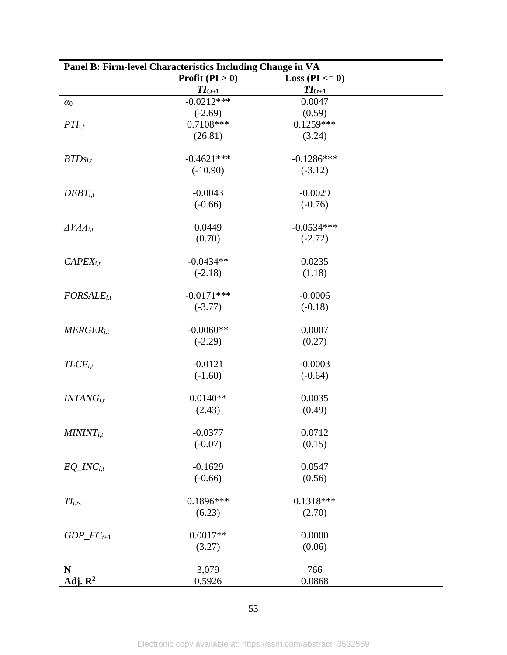| Panel B: Firm-level Characteristics Including Change in VA |                   |                     |  |  |  |
|------------------------------------------------------------|-------------------|---------------------|--|--|--|
|                                                            | Profit $(PI > 0)$ | Loss ( $PI \le 0$ ) |  |  |  |
|                                                            | $TI_{i,t+1}$      | $II_{i,t+1}$        |  |  |  |
| $\alpha_0$                                                 | $-0.0212***$      | 0.0047              |  |  |  |
|                                                            | $(-2.69)$         | (0.59)              |  |  |  |
| $PTI_{i,t}$                                                | $0.7108***$       | $0.1259***$         |  |  |  |
|                                                            | (26.81)           | (3.24)              |  |  |  |
| $BTDs_{i,t}$                                               | $-0.4621***$      | $-0.1286***$        |  |  |  |
|                                                            | $(-10.90)$        | $(-3.12)$           |  |  |  |
|                                                            |                   |                     |  |  |  |
| $DEBT_{i,t}$                                               | $-0.0043$         | $-0.0029$           |  |  |  |
|                                                            | $(-0.66)$         | $(-0.76)$           |  |  |  |
|                                                            |                   |                     |  |  |  |
| $\triangle VAA$ <sub>i,t</sub>                             | 0.0449            | $-0.0534***$        |  |  |  |
|                                                            | (0.70)            | $(-2.72)$           |  |  |  |
| $CAPEX_{i,t}$                                              | $-0.0434**$       | 0.0235              |  |  |  |
|                                                            | $(-2.18)$         | (1.18)              |  |  |  |
|                                                            |                   |                     |  |  |  |
| $FORSALE$ <sub>i,t</sub>                                   | $-0.0171***$      | $-0.0006$           |  |  |  |
|                                                            | $(-3.77)$         | $(-0.18)$           |  |  |  |
|                                                            |                   |                     |  |  |  |
| $MERGER_{i,t}$                                             | $-0.0060**$       | 0.0007              |  |  |  |
|                                                            | $(-2.29)$         | (0.27)              |  |  |  |
| $TLCF$ <sub>i,t</sub>                                      | $-0.0121$         | $-0.0003$           |  |  |  |
|                                                            | $(-1.60)$         | $(-0.64)$           |  |  |  |
|                                                            |                   |                     |  |  |  |
| $INTANG_{i,t}$                                             | $0.0140**$        | 0.0035              |  |  |  |
|                                                            | (2.43)            | (0.49)              |  |  |  |
|                                                            |                   |                     |  |  |  |
| $MININT_{i,t}$                                             | $-0.0377$         | 0.0712              |  |  |  |
|                                                            | $(-0.07)$         | (0.15)              |  |  |  |
| $EQ\_INC_{i,t}$                                            | $-0.1629$         | 0.0547              |  |  |  |
|                                                            | $(-0.66)$         | (0.56)              |  |  |  |
|                                                            |                   |                     |  |  |  |
| $TI_{i,t-3}$                                               | $0.1896***$       | $0.1318***$         |  |  |  |
|                                                            | (6.23)            | (2.70)              |  |  |  |
|                                                            |                   |                     |  |  |  |
| $GDP\_FC_{t+1}$                                            | $0.0017**$        | 0.0000              |  |  |  |
|                                                            | (3.27)            | (0.06)              |  |  |  |
| N                                                          | 3,079             | 766                 |  |  |  |
| Adj. $\mathbb{R}^2$                                        | 0.5926            | 0.0868              |  |  |  |
|                                                            |                   |                     |  |  |  |